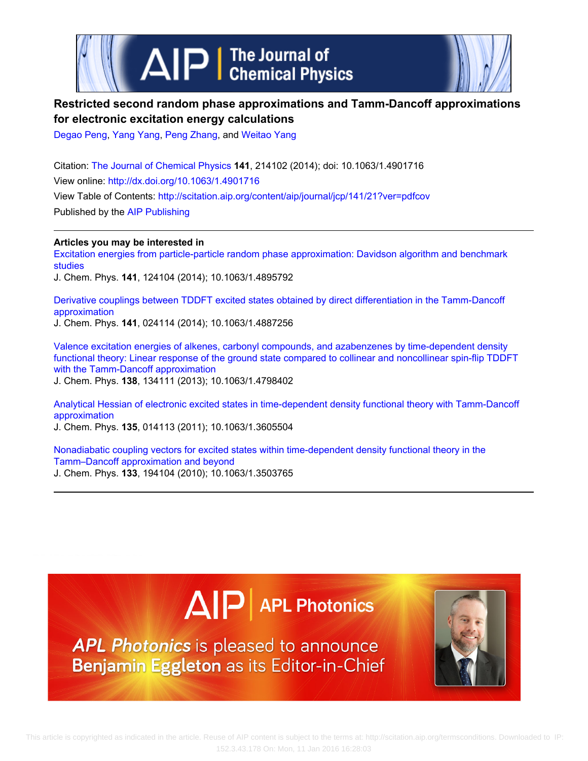

# **Restricted second random phase approximations and Tamm-Dancoff approximations for electronic excitation energy calculations**

[Degao Peng,](http://scitation.aip.org/search?value1=Degao+Peng&option1=author) [Yang Yang,](http://scitation.aip.org/search?value1=Yang+Yang&option1=author) [Peng Zhang,](http://scitation.aip.org/search?value1=Peng+Zhang&option1=author) and [Weitao Yang](http://scitation.aip.org/search?value1=Weitao+Yang&option1=author)

Citation: [The Journal of Chemical Physics](http://scitation.aip.org/content/aip/journal/jcp?ver=pdfcov) **141**, 214102 (2014); doi: 10.1063/1.4901716 View online: <http://dx.doi.org/10.1063/1.4901716> View Table of Contents: <http://scitation.aip.org/content/aip/journal/jcp/141/21?ver=pdfcov> Published by the [AIP Publishing](http://scitation.aip.org/content/aip?ver=pdfcov)

**Articles you may be interested in**

[Excitation energies from particle-particle random phase approximation: Davidson algorithm and benchmark](http://scitation.aip.org/content/aip/journal/jcp/141/12/10.1063/1.4895792?ver=pdfcov) [studies](http://scitation.aip.org/content/aip/journal/jcp/141/12/10.1063/1.4895792?ver=pdfcov)

J. Chem. Phys. **141**, 124104 (2014); 10.1063/1.4895792

[Derivative couplings between TDDFT excited states obtained by direct differentiation in the Tamm-Dancoff](http://scitation.aip.org/content/aip/journal/jcp/141/2/10.1063/1.4887256?ver=pdfcov) [approximation](http://scitation.aip.org/content/aip/journal/jcp/141/2/10.1063/1.4887256?ver=pdfcov) J. Chem. Phys. **141**, 024114 (2014); 10.1063/1.4887256

[Valence excitation energies of alkenes, carbonyl compounds, and azabenzenes by time-dependent density](http://scitation.aip.org/content/aip/journal/jcp/138/13/10.1063/1.4798402?ver=pdfcov) [functional theory: Linear response of the ground state compared to collinear and noncollinear spin-flip TDDFT](http://scitation.aip.org/content/aip/journal/jcp/138/13/10.1063/1.4798402?ver=pdfcov) [with the Tamm-Dancoff approximation](http://scitation.aip.org/content/aip/journal/jcp/138/13/10.1063/1.4798402?ver=pdfcov)

J. Chem. Phys. **138**, 134111 (2013); 10.1063/1.4798402

[Analytical Hessian of electronic excited states in time-dependent density functional theory with Tamm-Dancoff](http://scitation.aip.org/content/aip/journal/jcp/135/1/10.1063/1.3605504?ver=pdfcov) [approximation](http://scitation.aip.org/content/aip/journal/jcp/135/1/10.1063/1.3605504?ver=pdfcov) J. Chem. Phys. **135**, 014113 (2011); 10.1063/1.3605504

[Nonadiabatic coupling vectors for excited states within time-dependent density functional theory in the](http://scitation.aip.org/content/aip/journal/jcp/133/19/10.1063/1.3503765?ver=pdfcov) [Tamm–Dancoff approximation and beyond](http://scitation.aip.org/content/aip/journal/jcp/133/19/10.1063/1.3503765?ver=pdfcov) J. Chem. Phys. **133**, 194104 (2010); 10.1063/1.3503765

# $\Delta$   $\vert P \vert$  APL Photonics

APL Photonics is pleased to announce Benjamin Eggleton as its Editor-in-Chief

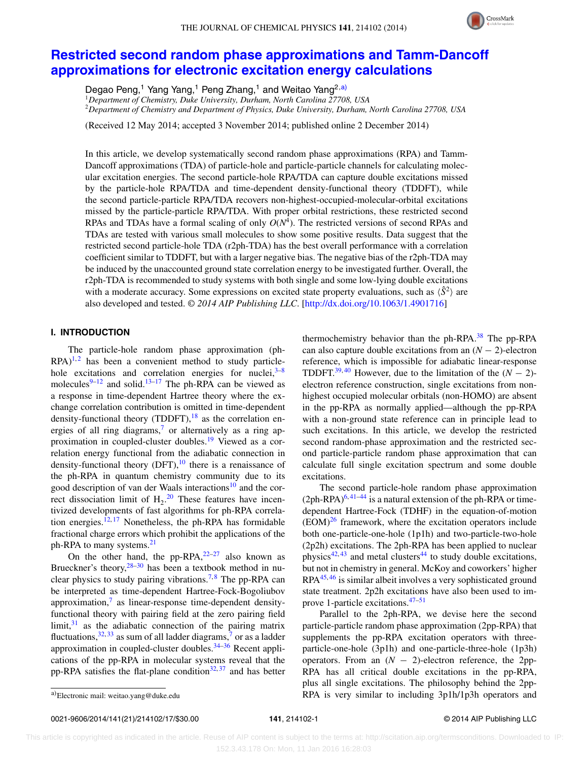

# **[Restricted second random phase approximations and Tamm-Dancoff](http://dx.doi.org/10.1063/1.4901716) [approximations for electronic excitation energy calculations](http://dx.doi.org/10.1063/1.4901716)**

Degao Peng,<sup>1</sup> Yang Yang,<sup>1</sup> Peng Zhang,<sup>1</sup> and Weitao Yang<sup>2[,a\)](#page-1-0)</sup>

<sup>1</sup>*Department of Chemistry, Duke University, Durham, North Carolina 27708, USA* <sup>2</sup>*Department of Chemistry and Department of Physics, Duke University, Durham, North Carolina 27708, USA*

(Received 12 May 2014; accepted 3 November 2014; published online 2 December 2014)

In this article, we develop systematically second random phase approximations (RPA) and Tamm-Dancoff approximations (TDA) of particle-hole and particle-particle channels for calculating molecular excitation energies. The second particle-hole RPA/TDA can capture double excitations missed by the particle-hole RPA/TDA and time-dependent density-functional theory (TDDFT), while the second particle-particle RPA/TDA recovers non-highest-occupied-molecular-orbital excitations missed by the particle-particle RPA/TDA. With proper orbital restrictions, these restricted second RPAs and TDAs have a formal scaling of only  $O(N<sup>4</sup>)$ . The restricted versions of second RPAs and TDAs are tested with various small molecules to show some positive results. Data suggest that the restricted second particle-hole TDA (r2ph-TDA) has the best overall performance with a correlation coefficient similar to TDDFT, but with a larger negative bias. The negative bias of the r2ph-TDA may be induced by the unaccounted ground state correlation energy to be investigated further. Overall, the r2ph-TDA is recommended to study systems with both single and some low-lying double excitations with a moderate accuracy. Some expressions on excited state property evaluations, such as  $\langle \hat{S}^2 \rangle$  are also developed and tested. *© 2014 AIP Publishing LLC*. [\[http://dx.doi.org/10.1063/1.4901716\]](http://dx.doi.org/10.1063/1.4901716)

# **I. INTRODUCTION**

The particle-hole random phase approximation (ph- $RPA$ <sup>[1,](#page-16-0)[2](#page-16-1)</sup> has been a convenient method to study particlehole excitations and correlation energies for nuclei, $3-8$  $3-8$ molecules $9-12$  $9-12$  and solid.<sup>[13](#page-16-6)[–17](#page-16-7)</sup> The ph-RPA can be viewed as a response in time-dependent Hartree theory where the exchange correlation contribution is omitted in time-dependent density-functional theory (TDDFT), <sup>[18](#page-16-8)</sup> as the correlation en-ergies of all ring diagrams,<sup>[7](#page-16-9)</sup> or alternatively as a ring ap-proximation in coupled-cluster doubles.<sup>[19](#page-16-10)</sup> Viewed as a correlation energy functional from the adiabatic connection in density-functional theory  $(DFT)$ ,<sup>10</sup> there is a renaissance of the ph-RPA in quantum chemistry community due to its good description of van der Waals interactions<sup>[10](#page-16-11)</sup> and the correct dissociation limit of  $H_2$ .<sup>[20](#page-16-12)</sup> These features have incentivized developments of fast algorithms for ph-RPA correla-tion energies.<sup>[12,](#page-16-5) [17](#page-16-7)</sup> Nonetheless, the ph-RPA has formidable fractional charge errors which prohibit the applications of the ph-RPA to many systems. $^{21}$  $^{21}$  $^{21}$ 

On the other hand, the pp-RPA, $22-27$  also known as Brueckner's theory,  $28-30$  $28-30$  has been a textbook method in nu-clear physics to study pairing vibrations.<sup>[7,](#page-16-9)[8](#page-16-3)</sup> The pp-RPA can be interpreted as time-dependent Hartree-Fock-Bogoliubov approximation, $\frac{7}{7}$  $\frac{7}{7}$  $\frac{7}{7}$  as linear-response time-dependent densityfunctional theory with pairing field at the zero pairing field limit, $31$  as the adiabatic connection of the pairing matrix fluctuations,  $32, 33$  $32, 33$  $32, 33$  as sum of all ladder diagrams,<sup>7</sup> or as a ladder approximation in coupled-cluster doubles. $34-36$  $34-36$  Recent applications of the pp-RPA in molecular systems reveal that the pp-RPA satisfies the flat-plane condition<sup>[32,](#page-16-19)[37](#page-16-23)</sup> and has better thermochemistry behavior than the ph-RPA.<sup>[38](#page-16-24)</sup> The pp-RPA can also capture double excitations from an  $(N - 2)$ -electron reference, which is impossible for adiabatic linear-response TDDFT.<sup>[39,](#page-16-25) [40](#page-16-26)</sup> However, due to the limitation of the  $(N - 2)$ electron reference construction, single excitations from nonhighest occupied molecular orbitals (non-HOMO) are absent in the pp-RPA as normally applied—although the pp-RPA with a non-ground state reference can in principle lead to such excitations. In this article, we develop the restricted second random-phase approximation and the restricted second particle-particle random phase approximation that can calculate full single excitation spectrum and some double excitations.

The second particle-hole random phase approximation  $(2ph-RPA)<sup>6,41–44</sup>$  $(2ph-RPA)<sup>6,41–44</sup>$  $(2ph-RPA)<sup>6,41–44</sup>$  $(2ph-RPA)<sup>6,41–44</sup>$  $(2ph-RPA)<sup>6,41–44</sup>$  is a natural extension of the ph-RPA or timedependent Hartree-Fock (TDHF) in the equation-of-motion  $(EOM)^{26}$  $(EOM)^{26}$  $(EOM)^{26}$  framework, where the excitation operators include both one-particle-one-hole (1p1h) and two-particle-two-hole (2p2h) excitations. The 2ph-RPA has been applied to nuclear physics<sup>[42,](#page-17-2) [43](#page-17-3)</sup> and metal clusters<sup>[44](#page-17-1)</sup> to study double excitations, but not in chemistry in general. McKoy and coworkers' higher  $RPA<sup>45,46</sup>$  $RPA<sup>45,46</sup>$  $RPA<sup>45,46</sup>$  is similar albeit involves a very sophisticated ground state treatment. 2p2h excitations have also been used to improve 1-particle excitations. $47-51$  $47-51$ 

Parallel to the 2ph-RPA, we devise here the second particle-particle random phase approximation (2pp-RPA) that supplements the pp-RPA excitation operators with threeparticle-one-hole (3p1h) and one-particle-three-hole (1p3h) operators. From an  $(N - 2)$ -electron reference, the 2pp-RPA has all critical double excitations in the pp-RPA, plus all single excitations. The philosophy behind the 2pp-RPA is very similar to including 3p1h/1p3h operators and

<span id="page-1-0"></span>a)Electronic mail: [weitao.yang@duke.edu](mailto: weitao.yang@duke.edu)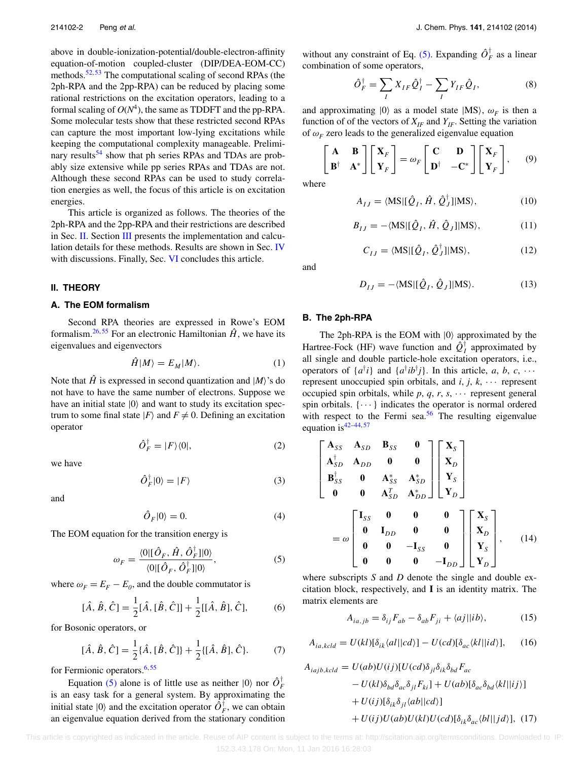above in double-ionization-potential/double-electron-affinity equation-of-motion coupled-cluster (DIP/DEA-EOM-CC) methods.<sup>[52,](#page-17-8)[53](#page-17-9)</sup> The computational scaling of second RPAs (the 2ph-RPA and the 2pp-RPA) can be reduced by placing some rational restrictions on the excitation operators, leading to a formal scaling of  $O(N^4)$ , the same as TDDFT and the pp-RPA. Some molecular tests show that these restricted second RPAs can capture the most important low-lying excitations while keeping the computational complexity manageable. Preliminary results<sup>54</sup> show that ph series RPAs and TDAs are probably size extensive while pp series RPAs and TDAs are not. Although these second RPAs can be used to study correlation energies as well, the focus of this article is on excitation energies.

This article is organized as follows. The theories of the 2ph-RPA and the 2pp-RPA and their restrictions are described in Sec. [II.](#page-2-0) Section [III](#page-5-0) presents the implementation and calcu-lation details for these methods. Results are shown in Sec. [IV](#page-6-0) with discussions. Finally, Sec. [VI](#page-16-29) concludes this article.

#### <span id="page-2-0"></span>**II. THEORY**

#### **A. The EOM formalism**

Second RPA theories are expressed in Rowe's EOM formalism.<sup>[26,](#page-16-28) [55](#page-17-11)</sup> For an electronic Hamiltonian  $\hat{H}$ , we have its eigenvalues and eigenvectors

$$
\hat{H}|M\rangle = E_M|M\rangle. \tag{1}
$$

Note that  $\hat{H}$  is expressed in second quantization and  $|M\rangle$ 's do not have to have the same number of electrons. Suppose we have an initial state  $|0\rangle$  and want to study its excitation spectrum to some final state  $|F\rangle$  and  $F \neq 0$ . Defining an excitation operator

$$
\hat{O}_F^\dagger = |F\rangle\langle 0|,\tag{2}
$$

we have

$$
\hat{O}_F^{\dagger}|0\rangle = |F\rangle \tag{3}
$$

and

$$
\hat{O}_F|0\rangle = 0.\tag{4}
$$

The EOM equation for the transition energy is

$$
\omega_F = \frac{\langle 0 | [\hat{O}_F, \hat{H}, \hat{O}_F^{\dagger}] | 0 \rangle}{\langle 0 | [\hat{O}_F, \hat{O}_F^{\dagger}] | 0 \rangle},\tag{5}
$$

where  $\omega_F = E_F - E_0$ , and the double commutator is

$$
[\hat{A}, \hat{B}, \hat{C}] = \frac{1}{2} [\hat{A}, [\hat{B}, \hat{C}]] + \frac{1}{2} [[\hat{A}, \hat{B}], \hat{C}],
$$
 (6)

for Bosonic operators, or

$$
[\hat{A}, \hat{B}, \hat{C}] = \frac{1}{2} \{\hat{A}, [\hat{B}, \hat{C}]\} + \frac{1}{2} \{[\hat{A}, \hat{B}], \hat{C}\}.
$$
 (7)

for Fermionic operators.<sup>[6,](#page-16-27)[55](#page-17-11)</sup>

Equation [\(5\)](#page-2-1) alone is of little use as neither  $|0\rangle$  nor  $\hat{O}_F^{\dagger}$ is an easy task for a general system. By approximating the initial state  $|0\rangle$  and the excitation operator  $\hat{O}_F^{\dagger}$ , we can obtain an eigenvalue equation derived from the stationary condition

without any constraint of Eq. [\(5\).](#page-2-1) Expanding  $\hat{O}_F^{\dagger}$  as a linear combination of some operators,

$$
\hat{O}_F^{\dagger} = \sum_I X_{IF} \hat{Q}_I^{\dagger} - \sum_I Y_{IF} \hat{Q}_I, \tag{8}
$$

and approximating  $|0\rangle$  as a model state  $|MS\rangle$ ,  $\omega_F$  is then a function of of the vectors of  $X_{IF}$  and  $Y_{IF}$ . Setting the variation of  $\omega_F$  zero leads to the generalized eigenvalue equation

$$
\begin{bmatrix} \mathbf{A} & \mathbf{B} \\ \mathbf{B}^{\dagger} & \mathbf{A}^* \end{bmatrix} \begin{bmatrix} \mathbf{X}_F \\ \mathbf{Y}_F \end{bmatrix} = \omega_F \begin{bmatrix} \mathbf{C} & \mathbf{D} \\ \mathbf{D}^{\dagger} & -\mathbf{C}^* \end{bmatrix} \begin{bmatrix} \mathbf{X}_F \\ \mathbf{Y}_F \end{bmatrix}, \qquad (9)
$$

<span id="page-2-4"></span><span id="page-2-3"></span>where

$$
A_{IJ} = \langle \mathbf{MS} | [\hat{Q}_I, \hat{H}, \hat{Q}_J^\dagger] | \mathbf{MS} \rangle, \tag{10}
$$

$$
B_{IJ} = -\langle \mathbf{MS} | [\hat{Q}_I, \hat{H}, \hat{Q}_J] | \mathbf{MS} \rangle, \tag{11}
$$

$$
C_{IJ} = \langle \mathbf{MS} | [\hat{Q}_I, \hat{Q}_J^\dagger] | \mathbf{MS} \rangle, \tag{12}
$$

and

$$
D_{IJ} = -\langle \text{MS} | [\hat{Q}_I, \hat{Q}_J] | \text{MS} \rangle. \tag{13}
$$

## **B. The 2ph-RPA**

The 2ph-RPA is the EOM with  $|0\rangle$  approximated by the Hartree-Fock (HF) wave function and  $\hat{Q}_I^{\dagger}$  approximated by all single and double particle-hole excitation operators, i.e., operators of  $\{a^{\dagger}i\}$  and  $\{a^{\dagger}ib^{\dagger}j\}$ . In this article, *a*, *b*, *c*, ··· represent unoccupied spin orbitals, and  $i, j, k, \cdots$  represent occupied spin orbitals, while  $p, q, r, s, \cdots$  represent general spin orbitals.  $\{\cdots\}$  indicates the operator is normal ordered with respect to the Fermi sea. $56$  The resulting eigenvalue equation is  $42-44, 57$  $42-44, 57$  $42-44, 57$ 

<span id="page-2-2"></span>
$$
\begin{bmatrix}\n\mathbf{A}_{SS} & \mathbf{A}_{SD} & \mathbf{B}_{SS} & \mathbf{0} \\
\mathbf{A}_{SD}^{\dagger} & \mathbf{A}_{DD} & \mathbf{0} & \mathbf{0} \\
\mathbf{B}_{SS}^{\dagger} & \mathbf{0} & \mathbf{A}_{SS}^{*} & \mathbf{A}_{SD}^{*} \\
\mathbf{0} & \mathbf{0} & \mathbf{A}_{SD}^{T} & \mathbf{A}_{DD}^{*}\n\end{bmatrix}\n\begin{bmatrix}\n\mathbf{X}_{S} \\
\mathbf{X}_{D} \\
\mathbf{Y}_{S} \\
\mathbf{Y}_{D}\n\end{bmatrix}
$$
\n
$$
= \omega \begin{bmatrix}\n\mathbf{I}_{SS} & \mathbf{0} & \mathbf{0} & \mathbf{0} \\
\mathbf{0} & \mathbf{I}_{DD} & \mathbf{0} & \mathbf{0} \\
\mathbf{0} & \mathbf{0} & -\mathbf{I}_{SS} & \mathbf{0} \\
\mathbf{0} & \mathbf{0} & \mathbf{0} & -\mathbf{I}_{DD}\n\end{bmatrix}\n\begin{bmatrix}\n\mathbf{X}_{S} \\
\mathbf{X}_{D} \\
\mathbf{X}_{D} \\
\mathbf{Y}_{S}\n\end{bmatrix}, \quad (14)
$$

<span id="page-2-1"></span>where subscripts *S* and *D* denote the single and double excitation block, respectively, and **I** is an identity matrix. The matrix elements are

$$
A_{ia,jb} = \delta_{ij} F_{ab} - \delta_{ab} F_{ji} + \langle aj||ib \rangle, \tag{15}
$$

$$
A_{ia,kcld} = U(kl)[\delta_{ik}\langle al||cd\rangle] - U(cd)[\delta_{ac}\langle kl||id\rangle], \qquad (16)
$$

$$
A_{iajb,kcld} = U(ab)U(ij)[U(cd)\delta_{jl}\delta_{ik}\delta_{bd}F_{ac}
$$
  
\n
$$
- U(kl)\delta_{bd}\delta_{ac}\delta_{jl}F_{ki}] + U(ab)[\delta_{ac}\delta_{bd}\langle kl||ij\rangle]
$$
  
\n
$$
+ U(ij)[\delta_{ik}\delta_{jl}\langle ab||cd\rangle]
$$
  
\n
$$
+ U(ij)U(ab)U(kl)U(cd)[\delta_{ik}\delta_{ac}\langle bl||jd\rangle], (17)
$$

 This article is copyrighted as indicated in the article. Reuse of AIP content is subject to the terms at: http://scitation.aip.org/termsconditions. Downloaded to IP: 152.3.43.178 On: Mon, 11 Jan 2016 16:28:03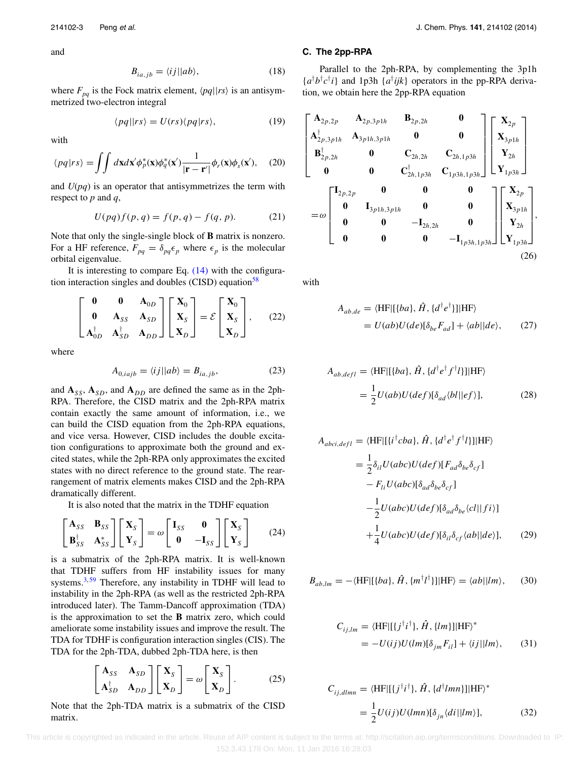$$
B_{ia,jb} = \langle ij || ab \rangle, \tag{18}
$$

where  $F_{pq}$  is the Fock matrix element,  $\langle pq||rs \rangle$  is an antisymmetrized two-electron integral

$$
\langle pq||rs\rangle = U(rs)\langle pq|rs\rangle, \tag{19}
$$

with

$$
\langle pq|rs\rangle = \int \int d\mathbf{x} d\mathbf{x}' \phi_p^*(\mathbf{x}) \phi_q^*(\mathbf{x}') \frac{1}{|\mathbf{r} - \mathbf{r}'|} \phi_r(\mathbf{x}) \phi_s(\mathbf{x}'), \quad (20)
$$

and *U*(*pq*) is an operator that antisymmetrizes the term with respect to *p* and *q*,

$$
U(pq)f(p,q) = f(p,q) - f(q,p).
$$
 (21)

Note that only the single-single block of **B** matrix is nonzero. For a HF reference,  $F_{pq} = \delta_{pq} \epsilon_p$  where  $\epsilon_p$  is the molecular orbital eigenvalue.

It is interesting to compare Eq.  $(14)$  with the configura-tion interaction singles and doubles (CISD) equation<sup>[58](#page-17-14)</sup>

$$
\begin{bmatrix} \mathbf{0} & \mathbf{0} & \mathbf{A}_{0D} \\ \mathbf{0} & \mathbf{A}_{SS} & \mathbf{A}_{SD} \\ \mathbf{A}_{0D}^{\dagger} & \mathbf{A}_{SD}^{\dagger} & \mathbf{A}_{DD} \end{bmatrix} \begin{bmatrix} \mathbf{X}_0 \\ \mathbf{X}_S \\ \mathbf{X}_D \end{bmatrix} = \mathcal{E} \begin{bmatrix} \mathbf{X}_0 \\ \mathbf{X}_S \\ \mathbf{X}_D \end{bmatrix}, \quad (22)
$$

where

$$
A_{0,iajb} = \langle ij || ab \rangle = B_{ia,jb}, \tag{23}
$$

and  $A_{SS}$ ,  $A_{SD}$ , and  $A_{DD}$  are defined the same as in the 2ph-RPA. Therefore, the CISD matrix and the 2ph-RPA matrix contain exactly the same amount of information, i.e., we can build the CISD equation from the 2ph-RPA equations, and vice versa. However, CISD includes the double excitation configurations to approximate both the ground and excited states, while the 2ph-RPA only approximates the excited states with no direct reference to the ground state. The rearrangement of matrix elements makes CISD and the 2ph-RPA dramatically different.

It is also noted that the matrix in the TDHF equation

$$
\begin{bmatrix} \mathbf{A}_{SS} & \mathbf{B}_{SS} \\ \mathbf{B}_{SS}^{\dagger} & \mathbf{A}_{SS}^{*} \end{bmatrix} \begin{bmatrix} \mathbf{X}_{S} \\ \mathbf{Y}_{S} \end{bmatrix} = \omega \begin{bmatrix} \mathbf{I}_{SS} & \mathbf{0} \\ \mathbf{0} & -\mathbf{I}_{SS} \end{bmatrix} \begin{bmatrix} \mathbf{X}_{S} \\ \mathbf{Y}_{S} \end{bmatrix}
$$
 (24)

is a submatrix of the 2ph-RPA matrix. It is well-known that TDHF suffers from HF instability issues for many systems. $3,59$  $3,59$  Therefore, any instability in TDHF will lead to instability in the 2ph-RPA (as well as the restricted 2ph-RPA introduced later). The Tamm-Dancoff approximation (TDA) is the approximation to set the **B** matrix zero, which could ameliorate some instability issues and improve the result. The TDA for TDHF is configuration interaction singles (CIS). The TDA for the 2ph-TDA, dubbed 2ph-TDA here, is then

$$
\begin{bmatrix} \mathbf{A}_{SS} & \mathbf{A}_{SD} \\ \mathbf{A}_{SD}^{\dagger} & \mathbf{A}_{DD} \end{bmatrix} \begin{bmatrix} \mathbf{X}_{S} \\ \mathbf{X}_{D} \end{bmatrix} = \omega \begin{bmatrix} \mathbf{X}_{S} \\ \mathbf{X}_{D} \end{bmatrix}.
$$
 (25)

Note that the 2ph-TDA matrix is a submatrix of the CISD matrix.

#### **C. The 2pp-RPA**

Parallel to the 2ph-RPA, by complementing the 3p1h  ${a^{\dagger}b^{\dagger}c^{\dagger}i}$  and 1p3h  ${a^{\dagger}ijk}$  operators in the pp-RPA derivation, we obtain here the 2pp-RPA equation

$$
\begin{bmatrix}\n\mathbf{A}_{2p,2p} & \mathbf{A}_{2p,3p1h} & \mathbf{B}_{2p,2h} & \mathbf{0} \\
\mathbf{A}_{2p,3p1h}^{\dagger} & \mathbf{A}_{3p1h,3p1h} & \mathbf{0} & \mathbf{0} \\
\mathbf{B}_{2p,2h}^{\dagger} & \mathbf{0} & \mathbf{C}_{2h,2h} & \mathbf{C}_{2h,1p3h} \\
\mathbf{0} & \mathbf{0} & \mathbf{C}_{2h,1p3h}^{\dagger} & \mathbf{C}_{1p3h,1p3h}\n\end{bmatrix}\n\begin{bmatrix}\n\mathbf{X}_{2p} \\
\mathbf{X}_{3p1h} \\
\mathbf{Y}_{2h} \\
\mathbf{Y}_{1p3h}\n\end{bmatrix}
$$
\n
$$
= \omega \begin{bmatrix}\n\mathbf{I}_{2p,2p} & \mathbf{0} & \mathbf{0} & \mathbf{0} \\
\mathbf{0} & \mathbf{I}_{3p1h,3p1h} & \mathbf{0} & \mathbf{0} \\
\mathbf{0} & \mathbf{0} & -\mathbf{I}_{2h,2h} & \mathbf{0} \\
\mathbf{0} & \mathbf{0} & \mathbf{0} & -\mathbf{I}_{1p3h,1p3h}\n\end{bmatrix}\n\begin{bmatrix}\n\mathbf{X}_{2p} \\
\mathbf{X}_{3p1h} \\
\mathbf{X}_{3p1h} \\
\mathbf{X}_{2h} \\
\mathbf{Y}_{1p3h}\n\end{bmatrix},
$$
\n(26)

with

$$
A_{ab,de} = \langle HF | [\{ba\}, \hat{H}, \{d^\dagger e^\dagger\}] | HF \rangle
$$
  
=  $U(ab)U(de)[\delta_{be}F_{ad}] + \langle ab || de \rangle,$  (27)

$$
A_{ab,defl} = \langle HF | [\{ba\}, \hat{H}, \{d^\dagger e^\dagger f^\dagger l\}] | HF \rangle
$$
  
= 
$$
\frac{1}{2} U(ab)U(def)[\delta_{ad}\langle bl||ef \rangle],
$$
 (28)

$$
A_{abci,defl} = \langle HF|[\{i^\dagger cba\}, \hat{H}, \{d^\dagger e^\dagger f^\dagger l\}]|HF\rangle
$$
  
\n
$$
= \frac{1}{2} \delta_{il} U(abc) U(def) [F_{ad} \delta_{be} \delta_{cf}]
$$
  
\n
$$
- F_{li} U(abc) [\delta_{ad} \delta_{be} \delta_{cf}]
$$
  
\n
$$
- \frac{1}{2} U(abc) U(def) [\delta_{ad} \delta_{be} \langle cl| |fi\rangle]
$$
  
\n
$$
+ \frac{1}{4} U(abc) U(def) [\delta_{il} \delta_{cf} \langle ab| | de\rangle], \qquad (29)
$$

$$
B_{ab,lm} = -\langle \text{HF} | [\{ba\}, \hat{H}, \{m^\dagger l^\dagger\}] | \text{HF} \rangle = \langle ab | |lm \rangle, \qquad (30)
$$

$$
C_{ij,lm} = \langle HF | [\{j^\dagger i^\dagger\}, \hat{H}, \{lm\}] | HF \rangle^*
$$
  
= 
$$
-U(ij)U(lm)[\delta_{jm}F_{il}] + \langle ij||lm\rangle,
$$
 (31)

$$
C_{ij,dlmn} = \langle HF | [\{j^{\dagger}i^{\dagger}\}, \hat{H}, \{d^{\dagger}lmn\}]|HF \rangle^*
$$
  
= 
$$
\frac{1}{2}U(ij)U(lmn)[\delta_{jn}\langle di||lm\rangle],
$$
(32)

This article is copyrighted as indicated in the article. Reuse of AIP content is subject to the terms at: http://scitation.aip.org/termsconditions. Downloaded to IP: 152.3.43.178 On: Mon, 11 Jan 2016 16:28:03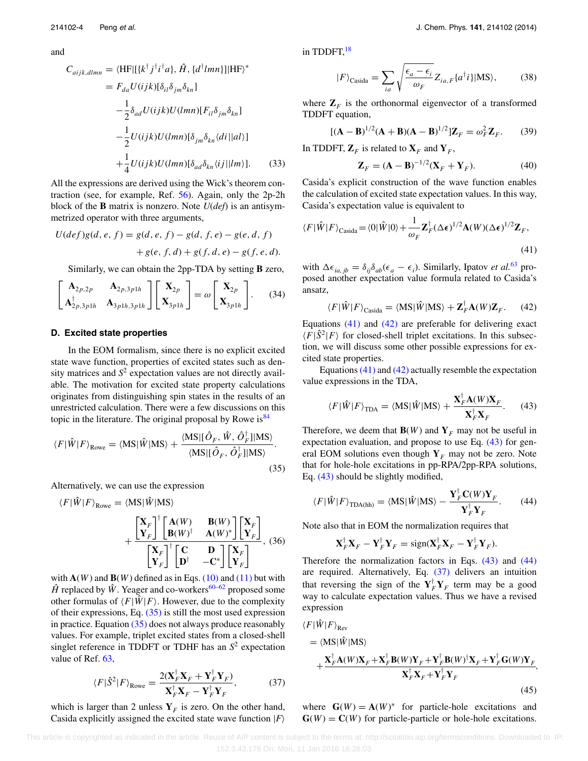and

$$
C_{aijk,dlmn} = \langle HF| [\{k^{\dagger} j^{\dagger} i^{\dagger} a\}, \hat{H}, \{d^{\dagger} lmn\}]|HF \rangle^*
$$
  
\n
$$
= F_{da} U(ijk) [\delta_{il} \delta_{jm} \delta_{kn}]
$$
  
\n
$$
- \frac{1}{2} \delta_{ad} U(ijk) U(lmn) [F_{il} \delta_{jm} \delta_{kn}]
$$
  
\n
$$
- \frac{1}{2} U(ijk) U(lmn) [\delta_{jm} \delta_{kn} \langle di || al \rangle]
$$
  
\n
$$
+ \frac{1}{4} U(ijk) U(lmn) [\delta_{ad} \delta_{kn} \langle ij || lm \rangle].
$$
 (33)

All the expressions are derived using the Wick's theorem contraction (see, for example, Ref. [56\)](#page-17-12). Again, only the 2p-2h block of the **B** matrix is nonzero. Note *U*(*def*) is an antisymmetrized operator with three arguments,

$$
U(\text{def})g(d, e, f) = g(d, e, f) - g(d, f, e) - g(e, d, f)
$$

$$
+ g(e, f, d) + g(f, d, e) - g(f, e, d).
$$

Similarly, we can obtain the 2pp-TDA by setting **B** zero,

$$
\begin{bmatrix} \mathbf{A}_{2p,2p} & \mathbf{A}_{2p,3p1h} \\ \mathbf{A}_{2p,3p1h}^{\dagger} & \mathbf{A}_{3p1h,3p1h} \end{bmatrix} \begin{bmatrix} \mathbf{X}_{2p} \\ \mathbf{X}_{3p1h} \end{bmatrix} = \omega \begin{bmatrix} \mathbf{X}_{2p} \\ \mathbf{X}_{3p1h} \end{bmatrix}.
$$
 (34)

#### **D. Excited state properties**

In the EOM formalism, since there is no explicit excited state wave function, properties of excited states such as density matrices and  $S<sup>2</sup>$  expectation values are not directly available. The motivation for excited state property calculations originates from distinguishing spin states in the results of an unrestricted calculation. There were a few discussions on this topic in the literature. The original proposal by Rowe is  $84$ 

$$
\langle F|\hat{W}|F\rangle_{\text{Rowe}} = \langle \mathbf{MS}|\hat{W}|\mathbf{MS}\rangle + \frac{\langle \mathbf{MS}|[\hat{O}_F, \hat{W}, \hat{O}_F^\dagger]| \mathbf{MS}\rangle}{\langle \mathbf{MS}|[\hat{O}_F, \hat{O}_F^\dagger]| \mathbf{MS}\rangle}.
$$
\n(35)

Alternatively, we can use the expression

$$
\langle F|\hat{W}|F\rangle_{\text{Rowe}} = \langle \text{MS}|\hat{W}|\text{MS}\rangle \n+ \frac{\begin{bmatrix} \mathbf{X}_F \\ \mathbf{Y}_F \end{bmatrix}^\dagger \begin{bmatrix} \mathbf{A}(W) & \mathbf{B}(W) \\ \mathbf{B}(W)^\dagger & \mathbf{A}(W)^* \end{bmatrix} \begin{bmatrix} \mathbf{X}_F \\ \mathbf{Y}_F \end{bmatrix}}{\begin{bmatrix} \mathbf{X}_F \\ \mathbf{Y}_F \end{bmatrix}^\dagger \begin{bmatrix} \mathbf{C} & \mathbf{D} \\ \mathbf{D}^\dagger & -\mathbf{C}^* \end{bmatrix} \begin{bmatrix} \mathbf{X}_F \\ \mathbf{Y}_F \end{bmatrix}},
$$
(36)

with  $\mathbf{A}(W)$  and  $\mathbf{B}(W)$  defined as in Eqs. [\(10\)](#page-2-3) and [\(11\)](#page-2-4) but with  $\hat{H}$  replaced by  $\hat{W}$ . Yeager and co-workers<sup>60[–62](#page-17-18)</sup> proposed some other formulas of  $\langle F | \hat{W} | F \rangle$ . However, due to the complexity of their expressions, Eq. [\(35\)](#page-4-0) is still the most used expression in practice. Equation  $(35)$  does not always produce reasonably values. For example, triplet excited states from a closed-shell singlet reference in TDDFT or TDHF has an  $S<sup>2</sup>$  expectation value of Ref. [63,](#page-17-19)

<span id="page-4-5"></span>
$$
\langle F|\hat{S}^2|F\rangle_{\text{Rowe}} = \frac{2(\mathbf{X}_F^{\dagger}\mathbf{X}_F + \mathbf{Y}_F^{\dagger}\mathbf{Y}_F)}{\mathbf{X}_F^{\dagger}\mathbf{X}_F - \mathbf{Y}_F^{\dagger}\mathbf{Y}_F},\tag{37}
$$

which is larger than 2 unless  $Y_F$  is zero. On the other hand, Casida explicitly assigned the excited state wave function  $|F\rangle$  in TDDFT,<sup>18</sup>

$$
|F\rangle_{\text{Casida}} = \sum_{ia} \sqrt{\frac{\epsilon_a - \epsilon_i}{\omega_F}} Z_{ia,F} \{a^\dagger i\} | \text{MS}\rangle, \tag{38}
$$

where  $\mathbf{Z}_F$  is the orthonormal eigenvector of a transformed TDDFT equation,

$$
[(\mathbf{A} - \mathbf{B})^{1/2}(\mathbf{A} + \mathbf{B})(\mathbf{A} - \mathbf{B})^{1/2}]\mathbf{Z}_F = \omega_F^2 \mathbf{Z}_F.
$$
 (39)

In TDDFT,  $\mathbf{Z}_F$  is related to  $\mathbf{X}_F$  and  $\mathbf{Y}_F$ ,

<span id="page-4-1"></span>
$$
\mathbf{Z}_F = (\mathbf{A} - \mathbf{B})^{-1/2} (\mathbf{X}_F + \mathbf{Y}_F). \tag{40}
$$

Casida's explicit construction of the wave function enables the calculation of excited state expectation values. In this way, Casida's expectation value is equivalent to

$$
\langle F|\hat{W}|F\rangle_{\text{Casida}} = \langle 0|\hat{W}|0\rangle + \frac{1}{\omega_F} \mathbf{Z}_F^{\dagger}(\Delta\epsilon)^{1/2} \mathbf{A}(W)(\Delta\epsilon)^{1/2} \mathbf{Z}_F,
$$
\n(41)

with  $\Delta \epsilon_{ia, jb} = \delta_{ij} \delta_{ab} (\epsilon_a - \epsilon_i)$ . Similarly, Ipatov *et al.*<sup>[63](#page-17-19)</sup> proposed another expectation value formula related to Casida's ansatz,

<span id="page-4-2"></span>
$$
\langle F|\hat{W}|F\rangle_{\text{Casida}} = \langle \mathbf{MS}|\hat{W}|\mathbf{MS}\rangle + \mathbf{Z}_F^{\dagger}\mathbf{A}(W)\mathbf{Z}_F. \tag{42}
$$

Equations  $(41)$  and  $(42)$  are preferable for delivering exact  $\langle F|\hat{S}^2|F\rangle$  for closed-shell triplet excitations. In this subsection, we will discuss some other possible expressions for excited state properties.

Equations  $(41)$  and  $(42)$  actually resemble the expectation value expressions in the TDA,

<span id="page-4-3"></span>
$$
\langle F|\hat{W}|F\rangle_{\text{TDA}} = \langle \mathbf{MS}|\hat{W}|\mathbf{MS}\rangle + \frac{\mathbf{X}_F^{\dagger}\mathbf{A}(W)\mathbf{X}_F}{\mathbf{X}_F^{\dagger}\mathbf{X}_F}.\tag{43}
$$

<span id="page-4-0"></span>Therefore, we deem that  $\mathbf{B}(W)$  and  $\mathbf{Y}_F$  may not be useful in expectation evaluation, and propose to use Eq. [\(43\)](#page-4-3) for general EOM solutions even though  $Y_F$  may not be zero. Note that for hole-hole excitations in pp-RPA/2pp-RPA solutions, Eq. [\(43\)](#page-4-3) should be slightly modified,

$$
\langle F|\hat{W}|F\rangle_{\text{TDA(hh)}} = \langle \mathbf{MS}|\hat{W}|\mathbf{MS}\rangle - \frac{\mathbf{Y}_F^\dagger \mathbf{C}(W)\mathbf{Y}_F}{\mathbf{Y}_F^\dagger \mathbf{Y}_F}.\tag{44}
$$

Note also that in EOM the normalization requires that

<span id="page-4-6"></span><span id="page-4-4"></span>
$$
\mathbf{X}_F^{\dagger} \mathbf{X}_F - \mathbf{Y}_F^{\dagger} \mathbf{Y}_F = \text{sign}(\mathbf{X}_F^{\dagger} \mathbf{X}_F - \mathbf{Y}_F^{\dagger} \mathbf{Y}_F).
$$

Therefore the normalization factors in Eqs. [\(43\)](#page-4-3) and [\(44\)](#page-4-4) are required. Alternatively, Eq. [\(37\)](#page-4-5) delivers an intuition that reversing the sign of the  $Y_F^{\dagger} Y_F$  term may be a good way to calculate expectation values. Thus we have a revised expression

$$
\langle F|\hat{W}|F\rangle_{\text{Rev}}
$$
  
=  $\langle \mathbf{M}\mathbf{S}|\hat{W}|\mathbf{M}\mathbf{S}\rangle$   
+
$$
\frac{\mathbf{X}_{F}^{\dagger}\mathbf{A}(W)\mathbf{X}_{F}+\mathbf{X}_{F}^{\dagger}\mathbf{B}(W)\mathbf{Y}_{F}+\mathbf{Y}_{F}^{\dagger}\mathbf{B}(W)^{\dagger}\mathbf{X}_{F}+\mathbf{Y}_{F}^{\dagger}\mathbf{G}(W)\mathbf{Y}_{F}}{\mathbf{X}_{F}^{\dagger}\mathbf{X}_{F}+\mathbf{Y}_{F}^{\dagger}\mathbf{Y}_{F}}
$$
(45)

where  $\mathbf{G}(W) = \mathbf{A}(W)^*$  for particle-hole excitations and  $\mathbf{G}(W) = \mathbf{C}(W)$  for particle-particle or hole-hole excitations.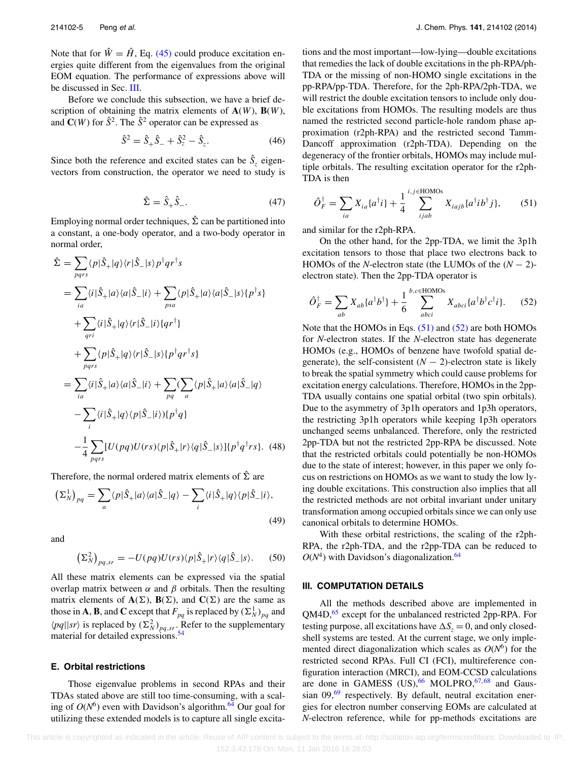Note that for  $\hat{W} = \hat{H}$ , Eq. [\(45\)](#page-4-6) could produce excitation energies quite different from the eigenvalues from the original EOM equation. The performance of expressions above will be discussed in Sec. [III.](#page-5-0)

Before we conclude this subsection, we have a brief description of obtaining the matrix elements of  $A(W)$ ,  $B(W)$ , and  $\mathbf{C}(W)$  for  $\hat{S}^2$ . The  $\hat{S}^2$  operator can be expressed as

$$
\hat{S}^2 = \hat{S}_+ \hat{S}_- + \hat{S}_z^2 - \hat{S}_z.
$$
 (46)

Since both the reference and excited states can be  $\hat{S}_z$  eigenvectors from construction, the operator we need to study is

$$
\hat{\Sigma} = \hat{S}_+ \hat{S}_-. \tag{47}
$$

Employing normal order techniques,  $\hat{\Sigma}$  can be partitioned into a constant, a one-body operator, and a two-body operator in normal order,

$$
\hat{\Sigma} = \sum_{pqrs} \langle p|\hat{S}_{+}|q\rangle \langle r|\hat{S}_{-}|s\rangle p^{\dagger}qr^{\dagger}s
$$
\n
$$
= \sum_{ia} \langle i|\hat{S}_{+}|a\rangle \langle a|\hat{S}_{-}|i\rangle + \sum_{psa} \langle p|\hat{S}_{+}|a\rangle \langle a|\hat{S}_{-}|s\rangle \{p^{\dagger}s\}
$$
\n
$$
+ \sum_{qri} \langle i|\hat{S}_{+}|q\rangle \langle r|\hat{S}_{-}|i\rangle \{qr^{\dagger}\}
$$
\n
$$
+ \sum_{pqrs} \langle p|\hat{S}_{+}|q\rangle \langle r|\hat{S}_{-}|s\rangle \{p^{\dagger}qr^{\dagger}s\}
$$
\n
$$
= \sum_{ia} \langle i|\hat{S}_{+}|a\rangle \langle a|\hat{S}_{-}|i\rangle + \sum_{pq} \langle \sum_{a} \langle p|\hat{S}_{+}|a\rangle \langle a|\hat{S}_{-}|q\rangle
$$
\n
$$
- \sum_{i} \langle i|\hat{S}_{+}|q\rangle \langle p|\hat{S}_{-}|i\rangle \{p^{\dagger}q\}
$$
\n
$$
- \frac{1}{4} \sum_{pqrs} [U(pq)U(rs)\langle p|\hat{S}_{+}|r\rangle \langle q|\hat{S}_{-}|s\rangle] \{p^{\dagger}q^{\dagger}rs\}. \quad (48)
$$

Therefore, the normal ordered matrix elements of  $\hat{\Sigma}$  are

$$
\left(\Sigma_N^1\right)_{pq} = \sum_a \langle p|\hat{S}_+|a\rangle \langle a|\hat{S}_-|q\rangle - \sum_i \langle i|\hat{S}_+|q\rangle \langle p|\hat{S}_-|i\rangle,\tag{49}
$$

and

$$
\left(\Sigma_N^2\right)_{pq,sr} = -U(pq)U(rs)\langle p|\hat{S}_+|r\rangle\langle q|\hat{S}_-|s\rangle. \tag{50}
$$

All these matrix elements can be expressed via the spatial overlap matrix between  $\alpha$  and  $\beta$  orbitals. Then the resulting matrix elements of  $A(\Sigma)$ ,  $B(\Sigma)$ , and  $C(\Sigma)$  are the same as those in **A**, **B**, and **C** except that  $F_{pq}$  is replaced by  $(\Sigma_N^1)_{pq}$  and  $\langle pq||sr\rangle$  is replaced by  $(\Sigma_N^2)_{pq,sr}$ . Refer to the supplementary material for detailed expressions.<sup>[54](#page-17-10)</sup>

#### **E. Orbital restrictions**

Those eigenvalue problems in second RPAs and their TDAs stated above are still too time-consuming, with a scaling of  $O(N^6)$  even with Davidson's algorithm.<sup>64</sup> Our goal for utilizing these extended models is to capture all single excitations and the most important—low-lying—double excitations that remedies the lack of double excitations in the ph-RPA/ph-TDA or the missing of non-HOMO single excitations in the pp-RPA/pp-TDA. Therefore, for the 2ph-RPA/2ph-TDA, we will restrict the double excitation tensors to include only double excitations from HOMOs. The resulting models are thus named the restricted second particle-hole random phase approximation (r2ph-RPA) and the restricted second Tamm-Dancoff approximation (r2ph-TDA). Depending on the degeneracy of the frontier orbitals, HOMOs may include multiple orbitals. The resulting excitation operator for the r2ph-TDA is then

<span id="page-5-1"></span>
$$
\hat{O}_F^{\dagger} = \sum_{ia} X_{ia} \{a^{\dagger}i\} + \frac{1}{4} \sum_{ijab}^{i,j \in \text{HOMOs}} X_{iajb} \{a^{\dagger}i b^{\dagger}j\},\tag{51}
$$

and similar for the r2ph-RPA.

On the other hand, for the 2pp-TDA, we limit the 3p1h excitation tensors to those that place two electrons back to HOMOs of the *N*-electron state (the LUMOs of the  $(N - 2)$ electron state). Then the 2pp-TDA operator is

<span id="page-5-2"></span>
$$
\hat{O}_F^\dagger = \sum_{ab} X_{ab} \{a^\dagger b^\dagger\} + \frac{1}{6} \sum_{abci}^{b,c \in \text{HOMOs}} X_{abci} \{a^\dagger b^\dagger c^\dagger i\}.
$$
 (52)

Note that the HOMOs in Eqs. [\(51\)](#page-5-1) and [\(52\)](#page-5-2) are both HOMOs for *N*-electron states. If the *N*-electron state has degenerate HOMOs (e.g., HOMOs of benzene have twofold spatial degenerate), the self-consistent  $(N - 2)$ -electron state is likely to break the spatial symmetry which could cause problems for excitation energy calculations. Therefore, HOMOs in the 2pp-TDA usually contains one spatial orbital (two spin orbitals). Due to the asymmetry of 3p1h operators and 1p3h operators, the restricting 3p1h operators while keeping 1p3h operators unchanged seems unbalanced. Therefore, only the restricted 2pp-TDA but not the restricted 2pp-RPA be discussed. Note that the restricted orbitals could potentially be non-HOMOs due to the state of interest; however, in this paper we only focus on restrictions on HOMOs as we want to study the low lying double excitations. This construction also implies that all the restricted methods are not orbital invariant under unitary transformation among occupied orbitals since we can only use canonical orbitals to determine HOMOs.

With these orbital restrictions, the scaling of the r2ph-RPA, the r2ph-TDA, and the r2pp-TDA can be reduced to  $O(N<sup>4</sup>)$  with Davidson's diagonalization.<sup>64</sup>

# <span id="page-5-0"></span>**III. COMPUTATION DETAILS**

All the methods described above are implemented in QM4D,<sup>[65](#page-17-21)</sup> except for the unbalanced restricted 2pp-RPA. For testing purpose, all excitations have  $\Delta S_z = 0$ , and only closedshell systems are tested. At the current stage, we only implemented direct diagonalization which scales as  $O(N<sup>6</sup>)$  for the restricted second RPAs. Full CI (FCI), multireference configuration interaction (MRCI), and EOM-CCSD calculations are done in GAMESS  $(US),\begin{matrix} 66 \\ 40 \end{matrix}$  MOLPRO,  $67, 68$  $67, 68$  $67, 68$  and Gaussian  $09,69$  $09,69$  respectively. By default, neutral excitation energies for electron number conserving EOMs are calculated at *N*-electron reference, while for pp-methods excitations are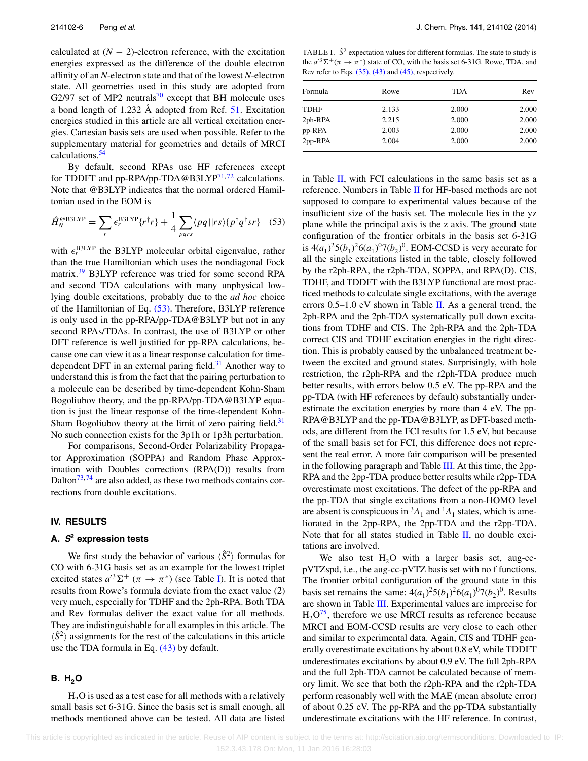calculated at  $(N - 2)$ -electron reference, with the excitation energies expressed as the difference of the double electron affinity of an *N*-electron state and that of the lowest *N*-electron state. All geometries used in this study are adopted from G2/97 set of MP2 neutrals<sup>[70](#page-17-26)</sup> except that BH molecule uses a bond length of 1.232 Å adopted from Ref.  $51$ . Excitation energies studied in this article are all vertical excitation energies. Cartesian basis sets are used when possible. Refer to the supplementary material for geometries and details of MRCI calculations.<sup>54</sup>

By default, second RPAs use HF references except for TDDFT and pp-RPA/pp-TDA@B3LYP<sup>71,[72](#page-17-28)</sup> calculations. Note that @B3LYP indicates that the normal ordered Hamiltonian used in the EOM is

<span id="page-6-1"></span>
$$
\hat{H}_N^{\text{@B3LYP}} = \sum_r \epsilon_r^{\text{B3LYP}} \{r^\dagger r\} + \frac{1}{4} \sum_{pqrs} \langle pq \, ||rs \rangle \{p^\dagger q^\dagger sr\} \quad (53)
$$

with  $\epsilon_r^{\text{B3LYP}}$  the B3LYP molecular orbital eigenvalue, rather than the true Hamiltonian which uses the nondiagonal Fock matrix.<sup>[39](#page-16-25)</sup> B3LYP reference was tried for some second RPA and second TDA calculations with many unphysical lowlying double excitations, probably due to the *ad hoc* choice of the Hamiltonian of Eq. [\(53\).](#page-6-1) Therefore, B3LYP reference is only used in the pp-RPA/pp-TDA@B3LYP but not in any second RPAs/TDAs. In contrast, the use of B3LYP or other DFT reference is well justified for pp-RPA calculations, because one can view it as a linear response calculation for timedependent DFT in an external paring field. $31$  Another way to understand this is from the fact that the pairing perturbation to a molecule can be described by time-dependent Kohn-Sham Bogoliubov theory, and the pp-RPA/pp-TDA@B3LYP equation is just the linear response of the time-dependent Kohn-Sham Bogoliubov theory at the limit of zero pairing field. $31$ No such connection exists for the 3p1h or 1p3h perturbation.

For comparisons, Second-Order Polarizability Propagator Approximation (SOPPA) and Random Phase Approximation with Doubles corrections (RPA(D)) results from Dalton<sup>73, [74](#page-17-30)</sup> are also added, as these two methods contains corrections from double excitations.

## <span id="page-6-0"></span>**IV. RESULTS**

# **A. <sup>S</sup><sup>2</sup> expression tests**

We first study the behavior of various  $\langle \hat{S}^2 \rangle$  formulas for CO with 6-31G basis set as an example for the lowest triplet excited states  $a^{3}\Sigma^{+}$  ( $\pi \to \pi^{*}$ ) (see Table [I\)](#page-6-2). It is noted that results from Rowe's formula deviate from the exact value (2) very much, especially for TDHF and the 2ph-RPA. Both TDA and Rev formulas deliver the exact value for all methods. They are indistinguishable for all examples in this article. The  $\langle \hat{S}^2 \rangle$  assignments for the rest of the calculations in this article use the TDA formula in Eq. [\(43\)](#page-4-3) by default.

# **B.** H<sub>2</sub>O

 $H<sub>2</sub>O$  is used as a test case for all methods with a relatively small basis set 6-31G. Since the basis set is small enough, all methods mentioned above can be tested. All data are listed

<span id="page-6-2"></span>TABLE I.  $\hat{S}^2$  expectation values for different formulas. The state to study is the  $a^{3}\Sigma^{+}(\pi \to \pi^{*})$  state of CO, with the basis set 6-31G. Rowe, TDA, and Rev refer to Eqs.  $(35)$ ,  $(43)$  and  $(45)$ , respectively.

| Formula     | Rowe  | <b>TDA</b> | Rev   |
|-------------|-------|------------|-------|
|             |       |            |       |
| <b>TDHF</b> | 2.133 | 2.000      | 2.000 |
| $2ph$ -RPA  | 2.215 | 2.000      | 2.000 |
| pp-RPA      | 2.003 | 2.000      | 2.000 |
| $2pp-RPA$   | 2.004 | 2.000      | 2.000 |

in Table [II,](#page-7-0) with FCI calculations in the same basis set as a reference. Numbers in Table [II](#page-7-0) for HF-based methods are not supposed to compare to experimental values because of the insufficient size of the basis set. The molecule lies in the yz plane while the principal axis is the z axis. The ground state configuration of the frontier orbitals in the basis set 6-31G is  $4(a_1)^2 5(b_1)^2 6(a_1)^0 7(b_2)^0$ . EOM-CCSD is very accurate for all the single excitations listed in the table, closely followed by the r2ph-RPA, the r2ph-TDA, SOPPA, and RPA(D). CIS, TDHF, and TDDFT with the B3LYP functional are most practiced methods to calculate single excitations, with the average errors  $0.5-1.0$  eV shown in Table [II.](#page-7-0) As a general trend, the 2ph-RPA and the 2ph-TDA systematically pull down excitations from TDHF and CIS. The 2ph-RPA and the 2ph-TDA correct CIS and TDHF excitation energies in the right direction. This is probably caused by the unbalanced treatment between the excited and ground states. Surprisingly, with hole restriction, the r2ph-RPA and the r2ph-TDA produce much better results, with errors below 0.5 eV. The pp-RPA and the pp-TDA (with HF references by default) substantially underestimate the excitation energies by more than 4 eV. The pp-RPA@B3LYP and the pp-TDA@B3LYP, as DFT-based methods, are different from the FCI results for 1.5 eV, but because of the small basis set for FCI, this difference does not represent the real error. A more fair comparison will be presented in the following paragraph and Table [III.](#page-7-1) At this time, the 2pp-RPA and the 2pp-TDA produce better results while r2pp-TDA overestimate most excitations. The defect of the pp-RPA and the pp-TDA that single excitations from a non-HOMO level are absent is conspicuous in  ${}^{3}A_{1}$  and  ${}^{1}A_{1}$  states, which is ameliorated in the 2pp-RPA, the 2pp-TDA and the r2pp-TDA. Note that for all states studied in Table [II,](#page-7-0) no double excitations are involved.

We also test  $H<sub>2</sub>O$  with a larger basis set, aug-ccpVTZspd, i.e., the aug-cc-pVTZ basis set with no f functions. The frontier orbital configuration of the ground state in this basis set remains the same:  $4(a_1)^2 5(b_1)^2 6(a_1)^0 7(b_2)^0$ . Results are shown in Table [III.](#page-7-1) Experimental values are imprecise for  $H<sub>2</sub>O<sup>75</sup>$ , therefore we use MRCI results as reference because MRCI and EOM-CCSD results are very close to each other and similar to experimental data. Again, CIS and TDHF generally overestimate excitations by about 0.8 eV, while TDDFT underestimates excitations by about 0.9 eV. The full 2ph-RPA and the full 2ph-TDA cannot be calculated because of memory limit. We see that both the r2ph-RPA and the r2ph-TDA perform reasonably well with the MAE (mean absolute error) of about 0.25 eV. The pp-RPA and the pp-TDA substantially underestimate excitations with the HF reference. In contrast,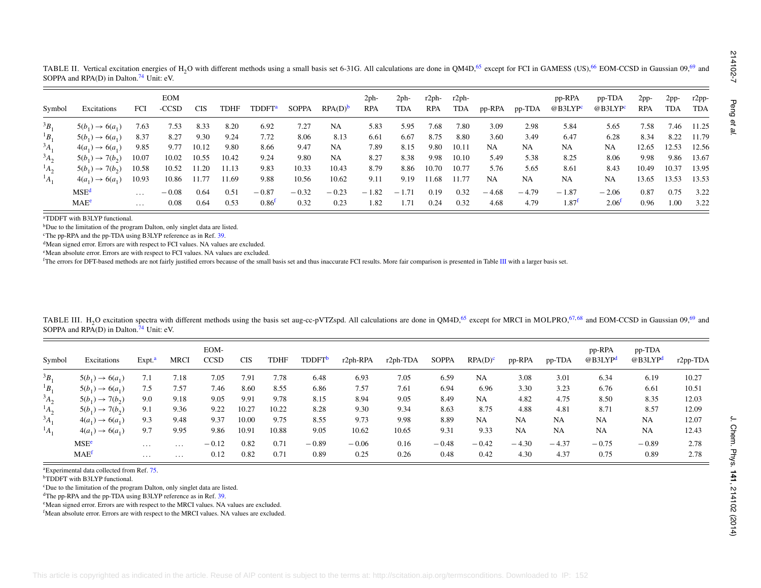<span id="page-7-7"></span><span id="page-7-6"></span><span id="page-7-5"></span><span id="page-7-4"></span><span id="page-7-3"></span><span id="page-7-2"></span>

| Symbol                                                                         | Excitations                                                                                                                                                                                                                                                                                                  | FCI                | <b>EOM</b><br>$-CCSD$ | <b>CIS</b> | <b>TDHF</b> | <b>TDDFT</b> <sup>a</sup> | <b>SOPPA</b> | $RPA(D)^b$         | $2ph-$<br><b>RPA</b> | $2ph-$<br><b>TDA</b> | r2ph-<br><b>RPA</b> | $r2ph-$<br><b>TDA</b> | pp-RPA              | pp-TDA  | pp-RPA<br>@B3LYP <sup>c</sup> | pp-TDA<br>@B3LYP <sup>c</sup> | $2pp-$<br><b>RPA</b> | $2pp-$<br><b>TDA</b> | r2pp-<br><b>TDA</b> |
|--------------------------------------------------------------------------------|--------------------------------------------------------------------------------------------------------------------------------------------------------------------------------------------------------------------------------------------------------------------------------------------------------------|--------------------|-----------------------|------------|-------------|---------------------------|--------------|--------------------|----------------------|----------------------|---------------------|-----------------------|---------------------|---------|-------------------------------|-------------------------------|----------------------|----------------------|---------------------|
| ${}^3B_1$                                                                      | $5(b_1) \rightarrow 6(a_1)$                                                                                                                                                                                                                                                                                  | 7.63               | 7.53                  | 8.33       | 8.20        | 6.92                      | 7.27         | NA                 | 5.83                 | 5.95                 | 7.68                | 7.80                  | 3.09                | 2.98    | 5.84                          | 5.65                          | 7.58                 | 7.46                 | 11.25               |
| ${}^1B_1$                                                                      | $5(b_1) \rightarrow 6(a_1)$                                                                                                                                                                                                                                                                                  | 8.37               | 8.27                  | 9.30       | 9.24        | 7.72                      | 8.06         | 8.13               | 6.61                 | 6.67                 | 8.75                | 8.80                  | 3.60                | 3.49    | 6.47                          | 6.28                          | 8.34                 | 8.22                 | 11.79               |
| $^{3}A_{1}$                                                                    | $4(a_1) \rightarrow 6(a_1)$                                                                                                                                                                                                                                                                                  | 9.85               | 9.77                  | 10.12      | 9.80        | 8.66                      | 9.47         | NA                 | 7.89                 | 8.15                 | 9.80                | 10.11                 | NA.                 | NA      | NA                            | NA                            | 12.65                | 12.53                | 12.56               |
| $A_2$                                                                          | $5(b_1) \to 7(b_2)$                                                                                                                                                                                                                                                                                          | 10.07              | 10.02                 | 10.55      | 10.42       | 9.24                      | 9.80         | NA                 | 8.27                 | 8.38                 | 9.98                | 10.10                 | 5.49                | 5.38    | 8.25                          | 8.06                          | 9.98                 | 9.86                 | 13.67               |
| $^{1}A_{2}$                                                                    | $5(b_1) \to 7(b_2)$                                                                                                                                                                                                                                                                                          | 10.58              | 10.52                 | 11.20      | 11.13       | 9.83                      | 10.33        | 10.43              | 8.79                 | 8.86                 | 10.70               | 10.77                 | 5.76                | 5.65    | 8.61                          | 8.43                          | 10.49                | 10.37                | 13.95               |
| $^{1}A_{1}$                                                                    | $4(a_1) \rightarrow 6(a_1)$                                                                                                                                                                                                                                                                                  | 10.93              | 10.86                 | 11.77      | 11.69       | 9.88                      | 10.56        | 10.62              | 9.11                 | 9.19                 | 11.68               | 11.77                 | NA                  | NA      | NA                            | NA                            | 13.65                | 13.53                | 13.53               |
|                                                                                | MSE <sup>d</sup>                                                                                                                                                                                                                                                                                             | $\ldots$           | $-0.08$               | 0.64       | 0.51        | $-0.87$                   | $-0.32$      | $-0.23$            | $-1.82$              | $-1.71$              | 0.19                | 0.32                  | $-4.68$             | $-4.79$ | $-1.87$                       | $-2.06$                       | 0.87                 | 0.75                 | 3.22                |
|                                                                                | MAE <sup>e</sup>                                                                                                                                                                                                                                                                                             | $\ddotsc$          | 0.08                  | 0.64       | 0.53        | 0.86 <sup>f</sup>         | 0.32         | 0.23               | 1.82                 | 1.71                 | 0.24                | 0.32                  | 4.68                | 4.79    | $1.87^{f}$                    | 2.06 <sup>f</sup>             | 0.96                 | 1.00                 | 3.22                |
|                                                                                |                                                                                                                                                                                                                                                                                                              |                    |                       |            |             |                           |              |                    |                      |                      |                     |                       |                     |         |                               |                               |                      |                      |                     |
|                                                                                | TABLE III. H <sub>2</sub> O excitation spectra with different methods using the basis set aug-cc-pVTZspd. All calculations are done in QM4D, <sup>65</sup> except for MRCI in MOLPRO, <sup>67,68</sup> and EOM-CCSD in Gaussian 09, <sup>69</sup> and<br>SOPPA and RPA(D) in Dalton. <sup>74</sup> Unit: eV. |                    |                       | EOM-       |             |                           |              |                    |                      |                      |                     |                       |                     |         |                               | pp-RPA                        | pp-TDA               |                      |                     |
|                                                                                | Excitations                                                                                                                                                                                                                                                                                                  | Expt. <sup>a</sup> | <b>MRCI</b>           | CCSD       |             | $\rm CIS$<br><b>TDHF</b>  |              | TDDFT <sup>b</sup> | r2ph-RPA             | r2ph-TDA             | <b>SOPPA</b>        |                       | RPA(D) <sup>c</sup> | pp-RPA  | pp-TDA                        | @B3LYP <sup>d</sup>           | @B3LYP <sup>d</sup>  |                      |                     |
|                                                                                | $5(b_1) \rightarrow 6(a_1)$                                                                                                                                                                                                                                                                                  | 7.1                | 7.18                  |            | 7.05        | 7.91                      | 7.78         | 6.48               | 6.93                 | 7.05                 | 6.59                |                       | NA                  | 3.08    | 3.01                          | 6.34                          | 6.19                 |                      | 10.27               |
|                                                                                | $5(b_1) \to 6(a_1)$                                                                                                                                                                                                                                                                                          | 7.5                | 7.57                  |            | 7.46        | 8.60                      | 8.55         | 6.86               | 7.57                 | 7.61                 | 6.94                |                       | 6.96                | 3.30    | 3.23                          | 6.76                          | 6.61                 |                      | 10.51               |
|                                                                                | $5(b_1) \to 7(b_2)$                                                                                                                                                                                                                                                                                          | 9.0                | 9.18                  |            | 9.05        | 9.91                      | 9.78         | 8.15               | 8.94                 | 9.05                 | 8.49                |                       | NA                  | 4.82    | 4.75                          | 8.50                          | 8.35                 |                      | 12.03               |
|                                                                                | $5(b_1) \to 7(b_2)$                                                                                                                                                                                                                                                                                          | 9.1                | 9.36                  |            | 9.22        | 10.22<br>10.27            |              | 8.28               | 9.30                 | 9.34                 | 8.63                |                       | 8.75                | 4.88    | 4.81                          | 8.71                          | 8.57                 |                      | 12.09               |
|                                                                                | $4(a_1) \rightarrow 6(a_1)$                                                                                                                                                                                                                                                                                  | 9.3                | 9.48                  |            | 9.37        | 10.00                     | 9.75         | 8.55               | 9.73                 | 9.98                 | 8.89                |                       | NA                  | NA      | NA                            | NA                            | NA                   |                      | 12.07               |
|                                                                                | $4(a_1) \rightarrow 6(a_1)$                                                                                                                                                                                                                                                                                  | 9.7                | 9.95                  |            | 9.86        | 10.91<br>10.88            |              | 9.05               | 10.62                | 10.65                | 9.31                |                       | 9.33                | NA      | NA                            | <b>NA</b>                     | NA                   |                      | 12.43               |
|                                                                                | MSE <sup>e</sup>                                                                                                                                                                                                                                                                                             | $\ldots$           | $\ldots$              | $-0.12$    |             | 0.82                      | 0.71         | $-0.89$            | $-0.06$              | 0.16                 | $-0.48$             |                       | $-0.42$             | $-4.30$ | $-4.37$                       | $-0.75$                       | $-0.89$              |                      | $r2pp-TDA$<br>2.78  |
| Symbol<br>$3B_1$<br>${}^1B_1$<br>$3A_2$<br>$^{1}A_{2}$<br>$A_1$<br>$^{1}A_{1}$ | MAE <sup>f</sup>                                                                                                                                                                                                                                                                                             | $\ldots$           | $\ldots$              |            | 0.12        | 0.82                      | 0.71         | 0.89               | 0.25                 | 0.26                 | 0.48                |                       | 0.42                | 4.30    | 4.37                          | 0.75                          | 0.89                 |                      | 2.78                |

<span id="page-7-14"></span><span id="page-7-13"></span><span id="page-7-12"></span><span id="page-7-11"></span><span id="page-7-10"></span><span id="page-7-9"></span><span id="page-7-8"></span><span id="page-7-1"></span><span id="page-7-0"></span>

| Symbol      | Excitations                 | Expt. <sup>a</sup> | MRCI     | EOM-<br><b>CCSD</b> | <b>CIS</b> | TDHF  | TDDFT <sup>b</sup> | $r2ph$ -RPA | r <sub>2ph</sub> -TDA | <b>SOPPA</b> | $RPA(D)^c$ | pp-RPA    | pp-TDA    | pp-RPA<br>@B3LYP <sup>d</sup> | pp-TDA<br>@B3LYP <sup>d</sup> | $r2pp-TDA$ |
|-------------|-----------------------------|--------------------|----------|---------------------|------------|-------|--------------------|-------------|-----------------------|--------------|------------|-----------|-----------|-------------------------------|-------------------------------|------------|
| $B_1$       | $5(b_1) \to 6(a_1)$         | 7.1                | 7.18     | 7.05                | 7.91       | 7.78  | 6.48               | 6.93        | 7.05                  | 6.59         | <b>NA</b>  | 3.08      | 3.01      | 6.34                          | 6.19                          | 10.27      |
| ${}^1B_1$   | $5(b_1) \rightarrow 6(a_1)$ | 7.5                | 7.57     | 7.46                | 8.60       | 8.55  | 6.86               | 7.57        | 7.61                  | 6.94         | 6.96       | 3.30      | 3.23      | 6.76                          | 6.61                          | 10.51      |
| $^{3}A_{2}$ | $5(b_1) \to 7(b_2)$         | 9.0                | 9.18     | 9.05                | 9.91       | 9.78  | 8.15               | 8.94        | 9.05                  | 8.49         | <b>NA</b>  | 4.82      | 4.75      | 8.50                          | 8.35                          | 12.03      |
| $^1A_2$     | $5(b_1) \to 7(b_2)$         | 9.1                | 9.36     | 9.22                | 10.27      | 10.22 | 8.28               | 9.30        | 9.34                  | 8.63         | 8.75       | 4.88      | 4.81      | 8.71                          | 8.57                          | 12.09      |
| $A_1$       | $4(a_1) \rightarrow 6(a_1)$ | 9.3                | 9.48     | 9.37                | 10.00      | 9.75  | 8.55               | 9.73        | 9.98                  | 8.89         | <b>NA</b>  | <b>NA</b> | <b>NA</b> | <b>NA</b>                     | NA                            | 12.07      |
| $^1A_1$     | $4(a_1) \rightarrow 6(a_1)$ | 9.7                | 9.95     | 9.86                | 10.91      | 10.88 | 9.05               | 10.62       | 10.65                 | 9.31         | 9.33       | <b>NA</b> | <b>NA</b> | NA                            | <b>NA</b>                     | 12.43      |
|             | MSE <sup>e</sup>            | $\cdots$           | $\cdots$ | $-0.12$             | 0.82       | 0.71  | $-0.89$            | $-0.06$     | 0.16                  | $-0.48$      | $-0.42$    | $-4.30$   | $-4.37$   | $-0.75$                       | $-0.89$                       | 2.78       |
|             | MAE <sup>f</sup>            | $\cdots$           | $\cdots$ | 0.12                | 0.82       | 0.71  | 0.89               | 0.25        | 0.26                  | 0.48         | 0.42       | 4.30      | 4.37      | 0.75                          | 0.89                          | 2.78       |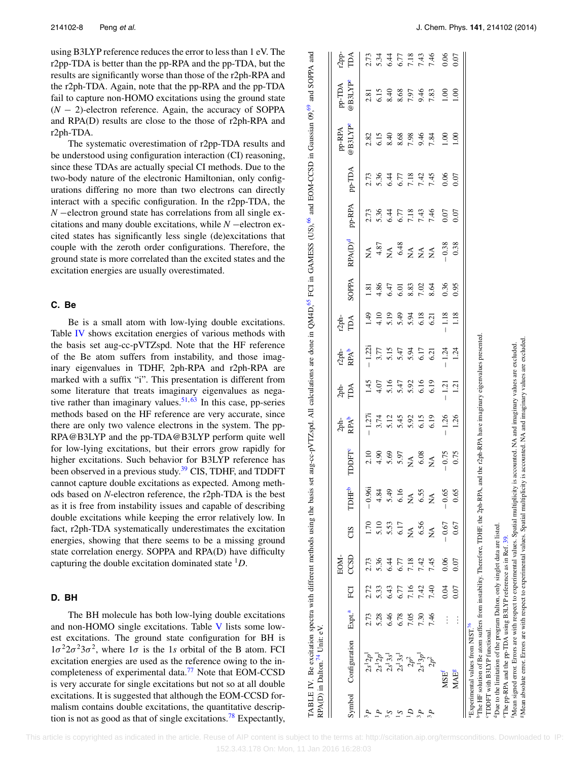using B3LYP reference reduces the error to less than 1 eV. The r2pp-TDA is better than the pp-RPA and the pp-TDA, but the results are significantly worse than those of the r2ph-RPA and the r2ph-TDA. Again, note that the pp-RPA and the pp-TDA fail to capture non-HOMO excitations using the ground state (*N* − 2)-electron reference. Again, the accuracy of SOPPA and RPA(D) results are close to the those of r2ph-RPA and r2ph-TDA.

The systematic overestimation of r2pp-TDA results and be understood using configuration interaction (CI) reasoning, since these TDAs are actually special CI methods. Due to the two-body nature of the electronic Hamiltonian, only configurations differing no more than two electrons can directly interact with a specific configuration. In the r2pp-TDA, the *N* −electron ground state has correlations from all single excitations and many double excitations, while *N* −electron excited states has significantly less single (de)excitations that couple with the zeroth order configurations. Therefore, the ground state is more correlated than the excited states and the excitation energies are usually overestimated.

# **C. Be**

Be is a small atom with low-lying double excitations. Table [IV](#page-8-0) shows excitation energies of various methods with the basis set aug-cc-pVTZspd. Note that the HF reference of the Be atom suffers from instability, and those imaginary eigenvalues in TDHF, 2ph-RPA and r2ph-RPA are marked with a suffix "i". This presentation is different from some literature that treats imaginary eigenvalues as negative rather than imaginary values.  $51, 63$  $51, 63$  In this case, pp-series methods based on the HF reference are very accurate, since there are only two valence electrons in the system. The pp-RPA@B3LYP and the pp-TDA@B3LYP perform quite well for low-lying excitations, but their errors grow rapidly for higher excitations. Such behavior for B3LYP reference has been observed in a previous study.<sup>[39](#page-16-25)</sup> CIS, TDHF, and TDDFT cannot capture double excitations as expected. Among methods based on *N*-electron reference, the r2ph-TDA is the best as it is free from instability issues and capable of describing double excitations while keeping the error relatively low. In fact, r2ph-TDA systematically underestimates the excitation energies, showing that there seems to be a missing ground state correlation energy. SOPPA and RPA(D) have difficulty capturing the double excitation dominated state <sup>1</sup>*D*.

# **D. BH**

The BH molecule has both low-lying double excitations and non-HOMO single excitations. Table [V](#page-9-0) lists some lowest excitations. The ground state configuration for BH is  $1\sigma^2 2\sigma^2 3\sigma^2$ , where  $1\sigma$  is the 1*s* orbital of the B atom. FCI excitation energies are used as the reference owing to the incompleteness of experimental data.<sup>77</sup> Note that EOM-CCSD is very accurate for single excitations but not so at all double excitations. It is suggested that although the EOM-CCSD formalism contains double excitations, the quantitative descrip-tion is not as good as that of single excitations.<sup>[78](#page-17-40)</sup> Expectantly,

TABLE IV. Be excitation spectra with different methods using the basis set aug-cc-pVTZspd. All calculations are done in QM4D,<sup>[65](#page-17-21)</sup> FCI in GAMESS (US),<sup>[66](#page-17-22)</sup> and EOM-CCSD in Gaussian 09,<sup>[69](#page-17-25)</sup> and SOPPA and and SOPPA and Be excitation spectra with different methods using the basis set aug-cc-pVTZspd. All calculations are done in QM4D,<sup>65</sup> FCI in GAMESS (US),<sup>66</sup> and EOM-CCSD in Gaussian 09,<sup>69</sup> TABLE IV.

|                                                                                                                                                                          |                    |      | EOM- |                |                   |                                                                  |                                          |               |                              | $r2ph$ -                           |                        |                                                                                                                                                                                                                                                                                                                                                                                                                           |                                      |                                    | pp-RPA                                          | pp-TDA                                         | $r2$ pp-                                                 |
|--------------------------------------------------------------------------------------------------------------------------------------------------------------------------|--------------------|------|------|----------------|-------------------|------------------------------------------------------------------|------------------------------------------|---------------|------------------------------|------------------------------------|------------------------|---------------------------------------------------------------------------------------------------------------------------------------------------------------------------------------------------------------------------------------------------------------------------------------------------------------------------------------------------------------------------------------------------------------------------|--------------------------------------|------------------------------------|-------------------------------------------------|------------------------------------------------|----------------------------------------------------------|
| Symbol Configuration                                                                                                                                                     | Expt. <sup>a</sup> | ECI  | CCSD | CIS            | TDHF <sup>b</sup> | TDDFT                                                            | $2ph-$<br>RPA <sup>b</sup>               | $2ph-$<br>TDA | r2ph-<br>RPA <sup>b</sup>    | $\mathbb{T} \mathbb{D} \mathbb{A}$ | SOPPA                  | RPA(D) <sup>d</sup>                                                                                                                                                                                                                                                                                                                                                                                                       | pp-RPA                               | pp-TDA                             | @B3LYPe                                         | @B3LYPe                                        | $\mathbb{T}^{\mathbb{A}}$                                |
| $2s^12p^1$                                                                                                                                                               | 2.73               | 2.72 | 2.73 | 0 <sup>1</sup> | $-0.96i$          |                                                                  | $-1.27i$                                 |               | $-1.22i$                     | (4.1)                              | $\overline{1.81}$      |                                                                                                                                                                                                                                                                                                                                                                                                                           |                                      |                                    |                                                 |                                                |                                                          |
| $2s^{1}2p^{1}$                                                                                                                                                           | 5.28               | 5.33 | 5.36 | 5.10           | 4.84              | $2.10$<br>$4.90$<br>$5.69$<br>$5.97$<br>$6.08$<br>$6.08$<br>$NA$ |                                          |               |                              | $7.19$<br>5.19                     |                        | $X + \frac{87}{7} \times 8 + \frac{87}{7} \times 8 + \frac{87}{7} \times 8 + \frac{87}{7} \times 8 + \frac{87}{7} \times 8 + \frac{87}{7} \times 8 + \frac{87}{7} \times 8 + \frac{87}{7} \times 8 + \frac{87}{7} \times 8 + \frac{87}{7} \times 8 + \frac{87}{7} \times 8 + \frac{87}{7} \times 8 + \frac{87}{7} \times 8 + \frac{87}{7} \times 8 + \frac{87}{7} \times 8 + \frac{87}{7} \times 8 + \frac{87}{7} \times$ | $7.3647844$<br>$7.3647844$<br>$7.46$ | $2.730.470.670.740.740.740.740.74$ | 2.82<br>0.15 0.08 0.4 0.4<br>0.15 0.08 0.09 0.5 | 2.81<br>6.15 9.08<br>6.15 9.98<br>7.83<br>7.83 | $2.73$<br>$3.44$<br>$7.78$<br>$7.44$<br>$7.43$<br>$7.43$ |
| $2s^13s^1$                                                                                                                                                               | 6.46               | 6.43 | 6.44 | 5.53           | 5.49              |                                                                  |                                          |               |                              |                                    |                        |                                                                                                                                                                                                                                                                                                                                                                                                                           |                                      |                                    |                                                 |                                                |                                                          |
| $2s^13s^1$                                                                                                                                                               | 6.78               | 6.77 | 6.77 | 6.17           | 6.16              |                                                                  | $714819$<br>$-14539$<br>$-159$<br>$-159$ |               | 3.77<br>5.15<br>5.94<br>5.17 |                                    | $4.86$<br>6.47<br>6.01 |                                                                                                                                                                                                                                                                                                                                                                                                                           |                                      |                                    |                                                 |                                                |                                                          |
| $2p^2$                                                                                                                                                                   | 7.05               | 7.16 | 7.18 | Ź              | Ź                 |                                                                  |                                          |               |                              | 5.94<br>6.18                       | 8.83                   |                                                                                                                                                                                                                                                                                                                                                                                                                           |                                      |                                    |                                                 |                                                |                                                          |
| $2s^13p^1$                                                                                                                                                               | 7.30               | 7.42 | 7.42 | 6.56           | 6.55              |                                                                  |                                          |               |                              |                                    | 7.02<br>8.64           |                                                                                                                                                                                                                                                                                                                                                                                                                           |                                      |                                    |                                                 |                                                |                                                          |
| $2p^2$                                                                                                                                                                   | 7.46               | 7.40 | 7.45 | ≸              | ≸                 |                                                                  |                                          |               | 6.21                         | 6.21                               |                        |                                                                                                                                                                                                                                                                                                                                                                                                                           |                                      |                                    |                                                 |                                                | 7.46                                                     |
| <b>MSE</b>                                                                                                                                                               | $\vdots$           | 0.04 | 0.06 | $-0.67$        | $-0.65$           | $-0.75$                                                          | $-1.26$                                  | $1.21$        | $-1.24$                      | $-1.18$                            | 0.36                   | $-0.38$                                                                                                                                                                                                                                                                                                                                                                                                                   | 0.07                                 |                                    | 00.1                                            | $\overline{1.00}$                              | 0.06                                                     |
| <b>MAE<sup>s</sup></b>                                                                                                                                                   | $\vdots$           | 0.07 | 0.07 | 0.67           | 0.65              | 0.75                                                             | 1.26                                     | 1.21          | 1.24                         | 1.18                               | 0.95                   | 0.38                                                                                                                                                                                                                                                                                                                                                                                                                      | 0.07                                 | $0.06$<br>0.07                     | $\overline{0}$                                  | 1.00                                           | 0.07                                                     |
| <sup>a</sup> Experimental values from NIST. <sup>76</sup>                                                                                                                |                    |      |      |                |                   |                                                                  |                                          |               |                              |                                    |                        |                                                                                                                                                                                                                                                                                                                                                                                                                           |                                      |                                    |                                                 |                                                |                                                          |
| The HF solution of Be atom suffers from instability. Therefore, TDHF, the 2ph-RPA, and the r2ph-RPA have imaginary eigenvalues presented<br>TDDFT with B3LYP functional. |                    |      |      |                |                   |                                                                  |                                          |               |                              |                                    |                        |                                                                                                                                                                                                                                                                                                                                                                                                                           |                                      |                                    |                                                 |                                                |                                                          |
| <sup>d</sup> Due to the limitation of the program Dalton, only singlet data are listed                                                                                   |                    |      |      |                |                   |                                                                  |                                          |               |                              |                                    |                        |                                                                                                                                                                                                                                                                                                                                                                                                                           |                                      |                                    |                                                 |                                                |                                                          |
| The pp-RPA and the pp-TDA using B3LYP reference as in Ref. 39.                                                                                                           |                    |      |      |                |                   |                                                                  |                                          |               |                              |                                    |                        |                                                                                                                                                                                                                                                                                                                                                                                                                           |                                      |                                    |                                                 |                                                |                                                          |
| Mean signed error. Errors are with respect to experimental values. Spatial multiplicity is accounted. NA and imaginary values are excluded                               |                    |      |      |                |                   |                                                                  |                                          |               |                              |                                    |                        |                                                                                                                                                                                                                                                                                                                                                                                                                           |                                      |                                    |                                                 |                                                |                                                          |

gMean absolute error. Errors are with respect to experimental values. Spatial multiplicity is accounted. NA and imaginary values are excluded.

<span id="page-8-0"></span>Mean absolute error. Errors are with respect to experimental values. Spatial multiplicity is accounted. NA and imaginary values are excluded

<span id="page-8-7"></span><span id="page-8-6"></span><span id="page-8-5"></span><span id="page-8-4"></span><span id="page-8-3"></span><span id="page-8-2"></span><span id="page-8-1"></span> This article is copyrighted as indicated in the article. Reuse of AIP content is subject to the terms at: http://scitation.aip.org/termsconditions. Downloaded to IP: 152.3.43.178 On: Mon, 11 Jan 2016 16:28:03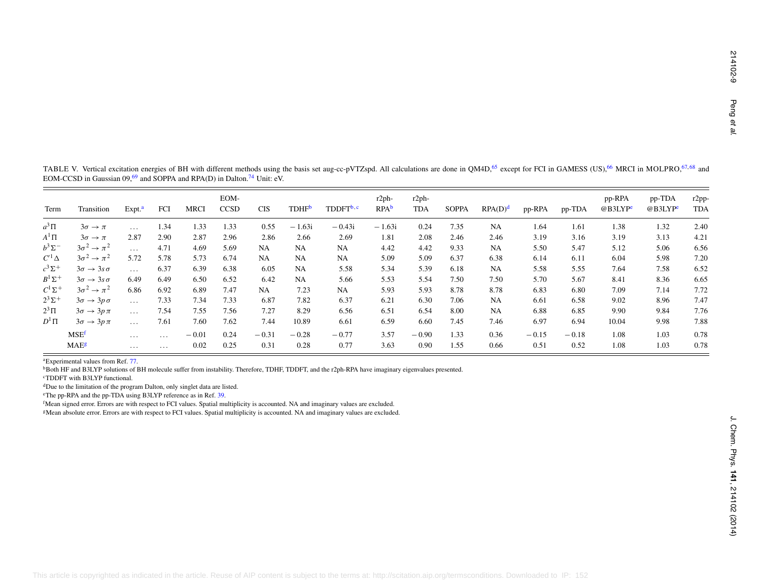<span id="page-9-0"></span>

<span id="page-9-7"></span><span id="page-9-6"></span><span id="page-9-5"></span><span id="page-9-4"></span><span id="page-9-3"></span><span id="page-9-2"></span><span id="page-9-1"></span>

| Transition<br>Term                                    | Expt. <sup>a</sup>                                                                      | FCI                                                                         | <b>MRCI</b> | EOM-<br><b>CCSD</b> | <b>CIS</b> | <b>TDHF</b> <sup>b</sup> | TDDFT <sup>b,c</sup> | $r2ph-$<br>RPA <sup>b</sup> | $r2ph-$<br><b>TDA</b> | <b>SOPPA</b> | RPA(D) <sup>d</sup> | pp-RPA  | pp-TDA  | pp-RPA<br>@B3LYPe | pp-TDA<br>$@$ B3LYP $e$ | r2pp-<br><b>TDA</b> |
|-------------------------------------------------------|-----------------------------------------------------------------------------------------|-----------------------------------------------------------------------------|-------------|---------------------|------------|--------------------------|----------------------|-----------------------------|-----------------------|--------------|---------------------|---------|---------|-------------------|-------------------------|---------------------|
| $a^3\Pi$<br>$3\sigma \rightarrow \pi$                 | $\ldots$                                                                                | 1.34                                                                        | 1.33        | 1.33                | 0.55       | $-1.63i$                 | $-0.43i$             | $-1.63i$                    | 0.24                  | 7.35         | NA                  | 1.64    | 1.61    | 1.38              | 1.32                    | 2.40                |
| $A^1\Pi$<br>$3\sigma \rightarrow \pi$                 | 2.87                                                                                    | 2.90                                                                        | 2.87        | 2.96                | 2.86       | 2.66                     | 2.69                 | 1.81                        | 2.08                  | 2.46         | 2.46                | 3.19    | 3.16    | 3.19              | 3.13                    | 4.21                |
| $b^3\Sigma^-$<br>$3\sigma^2 \rightarrow \pi^2$        | $\ldots$                                                                                | 4.71                                                                        | 4.69        | 5.69                | NA         | NA                       | NA                   | 4.42                        | 4.42                  | 9.33         | NA                  | 5.50    | 5.47    | 5.12              | 5.06                    | 6.56                |
| $C^{\prime 1}\Delta$<br>$3\sigma^2 \rightarrow \pi^2$ | 5.72                                                                                    | 5.78                                                                        | 5.73        | 6.74                | NA         | <b>NA</b>                | NA                   | 5.09                        | 5.09                  | 6.37         | 6.38                | 6.14    | 6.11    | 6.04              | 5.98                    | 7.20                |
| $c^3\Sigma^+$<br>$3\sigma \rightarrow 3s\sigma$       | $\ldots$                                                                                | 6.37                                                                        | 6.39        | 6.38                | 6.05       | <b>NA</b>                | 5.58                 | 5.34                        | 5.39                  | 6.18         | NA                  | 5.58    | 5.55    | 7.64              | 7.58                    | 6.52                |
| $B^1\Sigma^+$<br>$3\sigma \rightarrow 3s\sigma$       | 6.49                                                                                    | 6.49                                                                        | 6.50        | 6.52                | 6.42       | NA                       | 5.66                 | 5.53                        | 5.54                  | 7.50         | 7.50                | 5.70    | 5.67    | 8.41              | 8.36                    | 6.65                |
| $C^1\Sigma^+$<br>$3\sigma^2 \rightarrow \pi^2$        | 6.86                                                                                    | 6.92                                                                        | 6.89        | 7.47                | NA         | 7.23                     | NA                   | 5.93                        | 5.93                  | 8.78         | 8.78                | 6.83    | 6.80    | 7.09              | 7.14                    | 7.72                |
| $2^3\Sigma^+$<br>$3\sigma \rightarrow 3p\sigma$       | $\ldots$                                                                                | 7.33                                                                        | 7.34        | 7.33                | 6.87       | 7.82                     | 6.37                 | 6.21                        | 6.30                  | 7.06         | NA                  | 6.61    | 6.58    | 9.02              | 8.96                    | 7.47                |
| $2^3\Pi$<br>$3\sigma \rightarrow 3p\pi$               | $\ldots$                                                                                | 7.54                                                                        | 7.55        | 7.56                | 7.27       | 8.29                     | 6.56                 | 6.51                        | 6.54                  | 8.00         | NA                  | 6.88    | 6.85    | 9.90              | 9.84                    | 7.76                |
| $D^1\Pi$<br>$3\sigma \rightarrow 3p\pi$               | $\sim$ $\sim$ $\sim$                                                                    | 7.61                                                                        | 7.60        | 7.62                | 7.44       | 10.89                    | 6.61                 | 6.59                        | 6.60                  | 7.45         | 7.46                | 6.97    | 6.94    | 10.04             | 9.98                    | 7.88                |
| MSE <sup>f</sup>                                      | $\ldots$ .                                                                              | $\ldots$                                                                    | $-0.01$     | 0.24                | $-0.31$    | $-0.28$                  | $-0.77$              | 3.57                        | $-0.90$               | 1.33         | 0.36                | $-0.15$ | $-0.18$ | 1.08              | 1.03                    | 0.78                |
| MAE <sup>g</sup>                                      | $\cdots$                                                                                | $\cdots$                                                                    | 0.02        | 0.25                | 0.31       | 0.28                     | 0.77                 | 3.63                        | 0.90                  | 1.55         | 0.66                | 0.51    | 0.52    | 1.08              | 1.03                    | 0.78                |
| <sup>c</sup> TDDFT with B3LYP functional.             | <sup>d</sup> Due to the limitation of the program Dalton, only singlet data are listed. | <sup>e</sup> The pp-RPA and the pp-TDA using B3LYP reference as in Ref. 39. |             |                     |            |                          |                      |                             |                       |              |                     |         |         |                   |                         |                     |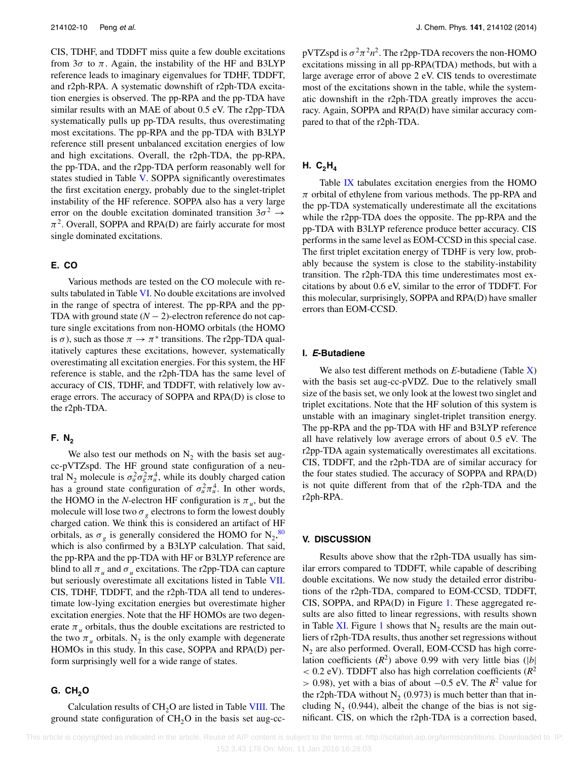CIS, TDHF, and TDDFT miss quite a few double excitations from  $3\sigma$  to  $\pi$ . Again, the instability of the HF and B3LYP reference leads to imaginary eigenvalues for TDHF, TDDFT, and r2ph-RPA. A systematic downshift of r2ph-TDA excitation energies is observed. The pp-RPA and the pp-TDA have similar results with an MAE of about 0.5 eV. The r2pp-TDA systematically pulls up pp-TDA results, thus overestimating most excitations. The pp-RPA and the pp-TDA with B3LYP reference still present unbalanced excitation energies of low and high excitations. Overall, the r2ph-TDA, the pp-RPA, the pp-TDA, and the r2pp-TDA perform reasonably well for states studied in Table [V.](#page-9-0) SOPPA significantly overestimates the first excitation energy, probably due to the singlet-triplet instability of the HF reference. SOPPA also has a very large error on the double excitation dominated transition  $3\sigma^2 \rightarrow$  $\pi^2$ . Overall, SOPPA and RPA(D) are fairly accurate for most single dominated excitations.

#### **E. CO**

Various methods are tested on the CO molecule with re-sults tabulated in Table [VI.](#page-11-0) No double excitations are involved in the range of spectra of interest. The pp-RPA and the pp-TDA with ground state  $(N - 2)$ -electron reference do not capture single excitations from non-HOMO orbitals (the HOMO is  $\sigma$ ), such as those  $\pi \to \pi^*$  transitions. The r2pp-TDA qualitatively captures these excitations, however, systematically overestimating all excitation energies. For this system, the HF reference is stable, and the r2ph-TDA has the same level of accuracy of CIS, TDHF, and TDDFT, with relatively low average errors. The accuracy of SOPPA and RPA(D) is close to the r2ph-TDA.

#### **F.** N<sub>2</sub>

We also test our methods on  $N_2$  with the basis set augcc-pVTZspd. The HF ground state configuration of a neutral N<sub>2</sub> molecule is  $\sigma_u^2 \sigma_g^2 \pi_u^4$ , while its doubly charged cation has a ground state configuration of  $\sigma_u^2 \pi_u^4$ . In other words, the HOMO in the *N*-electron HF configuration is  $\pi_{\nu}$ , but the molecule will lose two  $\sigma_g$  electrons to form the lowest doubly charged cation. We think this is considered an artifact of HF orbitals, as  $\sigma_g$  is generally considered the HOMO for  $N_2$ ,  $80$ which is also confirmed by a B3LYP calculation. That said, the pp-RPA and the pp-TDA with HF or B3LYP reference are blind to all  $\pi_u$  and  $\sigma_u$  excitations. The r2pp-TDA can capture but seriously overestimate all excitations listed in Table [VII.](#page-12-0) CIS, TDHF, TDDFT, and the r2ph-TDA all tend to underestimate low-lying excitation energies but overestimate higher excitation energies. Note that the HF HOMOs are two degenerate  $\pi$ <sup>*u*</sup> orbitals, thus the double excitations are restricted to the two  $\pi_u$  orbitals. N<sub>2</sub> is the only example with degenerate HOMOs in this study. In this case, SOPPA and RPA(D) perform surprisingly well for a wide range of states.

# **G. CH2O**

Calculation results of CH<sub>2</sub>O are listed in Table [VIII.](#page-13-0) The ground state configuration of  $CH<sub>2</sub>O$  in the basis set aug-ccpVTZspd is  $\sigma^2 \pi^2 n^2$ . The r2pp-TDA recovers the non-HOMO excitations missing in all pp-RPA(TDA) methods, but with a large average error of above 2 eV. CIS tends to overestimate most of the excitations shown in the table, while the systematic downshift in the r2ph-TDA greatly improves the accuracy. Again, SOPPA and RPA(D) have similar accuracy compared to that of the r2ph-TDA.

# **H.**  $C_2H_4$

Table [IX](#page-14-0) tabulates excitation energies from the HOMO *π* orbital of ethylene from various methods. The pp-RPA and the pp-TDA systematically underestimate all the excitations while the r2pp-TDA does the opposite. The pp-RPA and the pp-TDA with B3LYP reference produce better accuracy. CIS performs in the same level as EOM-CCSD in this special case. The first triplet excitation energy of TDHF is very low, probably because the system is close to the stability-instability transition. The r2ph-TDA this time underestimates most excitations by about 0.6 eV, similar to the error of TDDFT. For this molecular, surprisingly, SOPPA and RPA(D) have smaller errors than EOM-CCSD.

## **I. E-Butadiene**

We also test different methods on *E*-butadiene (Table [X\)](#page-14-1) with the basis set aug-cc-pVDZ. Due to the relatively small size of the basis set, we only look at the lowest two singlet and triplet excitations. Note that the HF solution of this system is unstable with an imaginary singlet-triplet transition energy. The pp-RPA and the pp-TDA with HF and B3LYP reference all have relatively low average errors of about 0.5 eV. The r2pp-TDA again systematically overestimates all excitations. CIS, TDDFT, and the r2ph-TDA are of similar accuracy for the four states studied. The accuracy of SOPPA and RPA(D) is not quite different from that of the r2ph-TDA and the r2ph-RPA.

## **V. DISCUSSION**

Results above show that the r2ph-TDA usually has similar errors compared to TDDFT, while capable of describing double excitations. We now study the detailed error distributions of the r2ph-TDA, compared to EOM-CCSD, TDDFT, CIS, SOPPA, and RPA(D) in Figure [1.](#page-15-0) These aggregated results are also fitted to linear regressions, with results shown in Table [XI.](#page-16-31) Figure [1](#page-15-0) shows that  $N<sub>2</sub>$  results are the main outliers of r2ph-TDA results, thus another set regressions without  $N<sub>2</sub>$  are also performed. Overall, EOM-CCSD has high correlation coefficients  $(R^2)$  above 0.99 with very little bias (|b|  $<$  0.2 eV). TDDFT also has high correlation coefficients ( $R^2$ ) *>* 0.98), yet with a bias of about −0.5 eV. The *R*<sup>2</sup> value for the r2ph-TDA without  $N_2$  (0.973) is much better than that including  $N<sub>2</sub>$  (0.944), albeit the change of the bias is not significant. CIS, on which the r2ph-TDA is a correction based,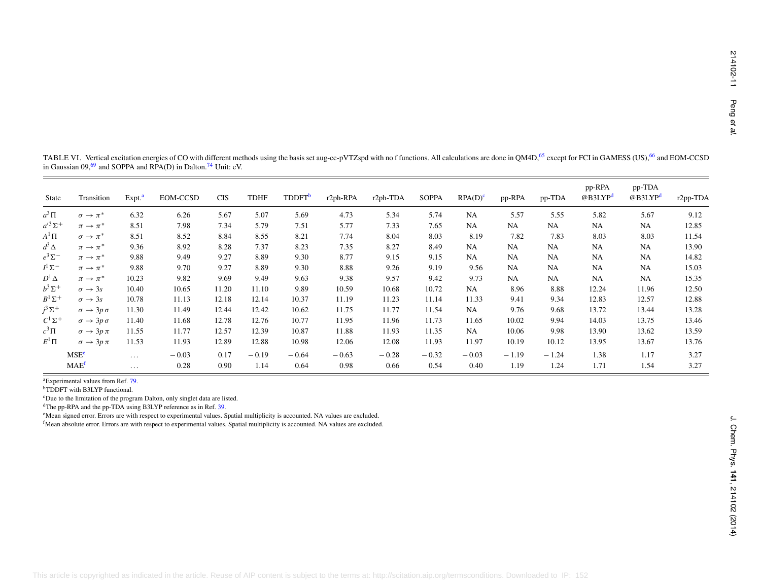<span id="page-11-6"></span><span id="page-11-5"></span><span id="page-11-4"></span><span id="page-11-3"></span>

| State                  | Transition                                                                                  | Expt. <sup>a</sup> | EOM-CCSD                                                                                                                                                                                                                                                                                                                                                                                                                                                             | <b>CIS</b> | TDHF    | TDDFT <sup>b</sup> | r2ph-RPA | r2ph-TDA | <b>SOPPA</b> | $RPA(D)^c$ | pp-RPA  | pp-TDA    | pp-RPA<br>@B3LYP <sup>d</sup> | pp-TDA<br>@B3LYP <sup>d</sup> | r2pp-TDA |
|------------------------|---------------------------------------------------------------------------------------------|--------------------|----------------------------------------------------------------------------------------------------------------------------------------------------------------------------------------------------------------------------------------------------------------------------------------------------------------------------------------------------------------------------------------------------------------------------------------------------------------------|------------|---------|--------------------|----------|----------|--------------|------------|---------|-----------|-------------------------------|-------------------------------|----------|
| $a^3\Pi$               | $\sigma \to \pi^*$                                                                          | 6.32               | 6.26                                                                                                                                                                                                                                                                                                                                                                                                                                                                 | 5.67       | 5.07    | 5.69               | 4.73     | 5.34     | 5.74         | NA         | 5.57    | 5.55      | 5.82                          | 5.67                          | 9.12     |
| $a^{\prime 3}\Sigma^+$ | $\pi \to \pi^*$                                                                             | 8.51               | 7.98                                                                                                                                                                                                                                                                                                                                                                                                                                                                 | 7.34       | 5.79    | 7.51               | 5.77     | 7.33     | 7.65         | NA         | NA      | NA        | NA                            | NA                            | 12.85    |
| $A^1\Pi$               | $\sigma \to \pi^*$                                                                          | 8.51               | 8.52                                                                                                                                                                                                                                                                                                                                                                                                                                                                 | 8.84       | 8.55    | 8.21               | 7.74     | 8.04     | 8.03         | 8.19       | 7.82    | 7.83      | 8.03                          | 8.03                          | 11.54    |
| $d^3\Delta$            | $\pi \to \pi^*$                                                                             | 9.36               | 8.92                                                                                                                                                                                                                                                                                                                                                                                                                                                                 | 8.28       | 7.37    | 8.23               | 7.35     | 8.27     | 8.49         | NA         | NA      | NA        | NA                            | NA                            | 13.90    |
| $e^3\Sigma^-$          | $\pi \to \pi^*$                                                                             | 9.88               | 9.49                                                                                                                                                                                                                                                                                                                                                                                                                                                                 | 9.27       | 8.89    | 9.30               | 8.77     | 9.15     | 9.15         | NA         | NA      | NA        | <b>NA</b>                     | NA                            | 14.82    |
| $I^1\Sigma^-$          | $\pi \to \pi^*$                                                                             | 9.88               | 9.70                                                                                                                                                                                                                                                                                                                                                                                                                                                                 | 9.27       | 8.89    | 9.30               | 8.88     | 9.26     | 9.19         | 9.56       | NA      | <b>NA</b> | <b>NA</b>                     | NA                            | 15.03    |
| $D^1\Delta$            | $\pi \to \pi^*$                                                                             | 10.23              | 9.82                                                                                                                                                                                                                                                                                                                                                                                                                                                                 | 9.69       | 9.49    | 9.63               | 9.38     | 9.57     | 9.42         | 9.73       | NA      | NA        | NA                            | NA                            | 15.35    |
| $b^3\Sigma^+$          | $\sigma \rightarrow 3s$                                                                     | 10.40              | 10.65                                                                                                                                                                                                                                                                                                                                                                                                                                                                | 11.20      | 11.10   | 9.89               | 10.59    | 10.68    | 10.72        | NA         | 8.96    | 8.88      | 12.24                         | 11.96                         | 12.50    |
| $B^1\Sigma^+$          | $\sigma \rightarrow 3s$                                                                     | 10.78              | 11.13                                                                                                                                                                                                                                                                                                                                                                                                                                                                | 12.18      | 12.14   | 10.37              | 11.19    | 11.23    | 11.14        | 11.33      | 9.41    | 9.34      | 12.83                         | 12.57                         | 12.88    |
| $j^3\Sigma^+$          | $\sigma \rightarrow 3p \sigma$                                                              | 11.30              | 11.49                                                                                                                                                                                                                                                                                                                                                                                                                                                                | 12.44      | 12.42   | 10.62              | 11.75    | 11.77    | 11.54        | NA         | 9.76    | 9.68      | 13.72                         | 13.44                         | 13.28    |
| $C^1\Sigma^+$          | $\sigma \rightarrow 3p \sigma$                                                              | 11.40              | 11.68                                                                                                                                                                                                                                                                                                                                                                                                                                                                | 12.78      | 12.76   | 10.77              | 11.95    | 11.96    | 11.73        | 11.65      | 10.02   | 9.94      | 14.03                         | 13.75                         | 13.46    |
| $c^3\Pi$               | $\sigma \rightarrow 3p \pi$                                                                 | 11.55              | 11.77                                                                                                                                                                                                                                                                                                                                                                                                                                                                | 12.57      | 12.39   | 10.87              | 11.88    | 11.93    | 11.35        | NA         | 10.06   | 9.98      | 13.90                         | 13.62                         | 13.59    |
| $E^1\Pi$               | $\sigma \rightarrow 3p \pi$                                                                 | 11.53              | 11.93                                                                                                                                                                                                                                                                                                                                                                                                                                                                | 12.89      | 12.88   | 10.98              | 12.06    | 12.08    | 11.93        | 11.97      | 10.19   | 10.12     | 13.95                         | 13.67                         | 13.76    |
|                        | MSE <sup>e</sup>                                                                            | $\ldots$           | $-0.03$                                                                                                                                                                                                                                                                                                                                                                                                                                                              | 0.17       | $-0.19$ | $-0.64$            | $-0.63$  | $-0.28$  | $-0.32$      | $-0.03$    | $-1.19$ | $-1.24$   | 1.38                          | 1.17                          | 3.27     |
|                        | MAE <sup>f</sup>                                                                            | $\ldots$           | 0.28                                                                                                                                                                                                                                                                                                                                                                                                                                                                 | 0.90       | 1.14    | 0.64               | 0.98     | 0.66     | 0.54         | 0.40       | 1.19    | 1.24      | 1.71                          | 1.54                          | 3.27     |
|                        | <sup>a</sup> Experimental values from Ref. 79.<br><sup>b</sup> TDDFT with B3LYP functional. |                    | <sup>c</sup> Due to the limitation of the program Dalton, only singlet data are listed.<br><sup>d</sup> The pp-RPA and the pp-TDA using B3LYP reference as in Ref. 39.<br><sup>e</sup> Mean signed error. Errors are with respect to experimental values. Spatial multiplicity is accounted. NA values are excluded.<br><sup>f</sup> Mean absolute error. Errors are with respect to experimental values. Spatial multiplicity is accounted. NA values are excluded. |            |         |                    |          |          |              |            |         |           |                               |                               |          |

<span id="page-11-2"></span><span id="page-11-1"></span><span id="page-11-0"></span>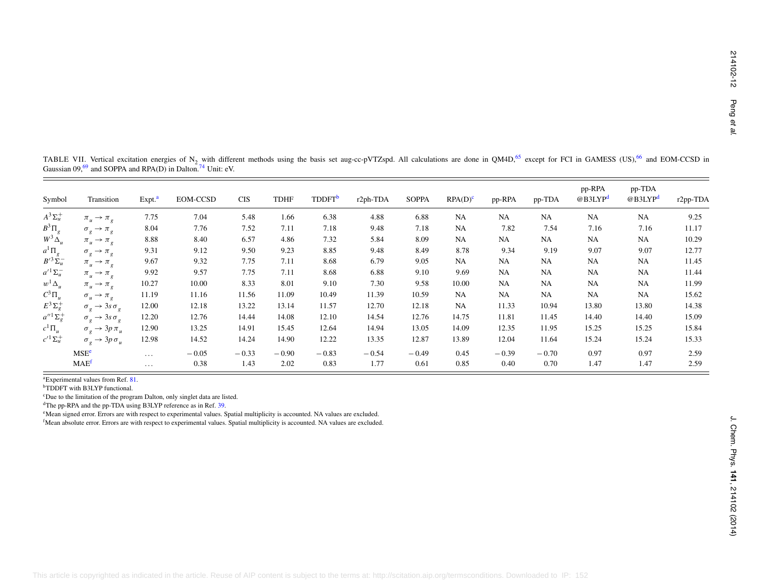<span id="page-12-6"></span><span id="page-12-5"></span><span id="page-12-4"></span><span id="page-12-3"></span><span id="page-12-2"></span><span id="page-12-1"></span>

| Symbol                                                                                                                                       | Transition                                                                                                                                                                                                                                | Expt. <sup>a</sup>   | EOM-CCSD                                                                                                                                                               | <b>CIS</b> | <b>TDHF</b> | TDDFT <sup>b</sup> | r2ph-TDA | <b>SOPPA</b> | $RPA(D)^c$ | pp-RPA    | pp-TDA  | pp-RPA<br>@B3LYP <sup>d</sup> | pp-TDA<br>@B3LYP <sup>d</sup> | r2pp-TDA |
|----------------------------------------------------------------------------------------------------------------------------------------------|-------------------------------------------------------------------------------------------------------------------------------------------------------------------------------------------------------------------------------------------|----------------------|------------------------------------------------------------------------------------------------------------------------------------------------------------------------|------------|-------------|--------------------|----------|--------------|------------|-----------|---------|-------------------------------|-------------------------------|----------|
| $A^3\Sigma_u^+$                                                                                                                              | $\pi_u \rightarrow \pi_g$                                                                                                                                                                                                                 | 7.75                 | 7.04                                                                                                                                                                   | 5.48       | 1.66        | 6.38               | 4.88     | 6.88         | NA         | NA        | NA      | <b>NA</b>                     | NA                            | 9.25     |
| $\begin{array}{c} B^3\Pi_g\\ W^3\Delta_u \end{array}$                                                                                        | $\sigma_g \rightarrow \pi_g$                                                                                                                                                                                                              | 8.04                 | 7.76                                                                                                                                                                   | 7.52       | 7.11        | 7.18               | 9.48     | 7.18         | NA         | 7.82      | 7.54    | 7.16                          | 7.16                          | 11.17    |
|                                                                                                                                              | $\pi_u \rightarrow \pi_g$                                                                                                                                                                                                                 | 8.88                 | 8.40                                                                                                                                                                   | 6.57       | 4.86        | 7.32               | 5.84     | 8.09         | NA         | NA        | NA      | <b>NA</b>                     | NA                            | 10.29    |
| $a^1 \Pi_g$<br>$B'^3 \Sigma_u^-$                                                                                                             | $\sigma_g \rightarrow \pi_g$                                                                                                                                                                                                              | 9.31                 | 9.12                                                                                                                                                                   | 9.50       | 9.23        | 8.85               | 9.48     | 8.49         | 8.78       | 9.34      | 9.19    | 9.07                          | 9.07                          | 12.77    |
|                                                                                                                                              | $\pi_u \rightarrow \pi_g$                                                                                                                                                                                                                 | 9.67                 | 9.32                                                                                                                                                                   | 7.75       | 7.11        | 8.68               | 6.79     | 9.05         | NA         | NA        | NA      | NA                            | NA                            | 11.45    |
| $a^{\prime 1}\Sigma_u^-$                                                                                                                     | $\pi_u \rightarrow \pi_g$                                                                                                                                                                                                                 | 9.92                 | 9.57                                                                                                                                                                   | 7.75       | 7.11        | 8.68               | 6.88     | 9.10         | 9.69       | NA        | NA      | <b>NA</b>                     | NA                            | 11.44    |
|                                                                                                                                              | $\pi_u \rightarrow \pi_g$                                                                                                                                                                                                                 | 10.27                | 10.00                                                                                                                                                                  | 8.33       | 8.01        | 9.10               | 7.30     | 9.58         | 10.00      | <b>NA</b> | NA      | NA                            | NA                            | 11.99    |
|                                                                                                                                              | $\sigma_u \rightarrow \pi_g$                                                                                                                                                                                                              | 11.19                | 11.16                                                                                                                                                                  | 11.56      | 11.09       | 10.49              | 11.39    | 10.59        | NA         | NA        | NA      | <b>NA</b>                     | NA                            | 15.62    |
| $\begin{aligned} &w^1\Delta_u\\ &C^3\Pi_u\\ &E^3\Sigma_g^+\\ &a''^1\Sigma_g^+ \end{aligned}$                                                 | $\sigma_g \rightarrow 3s \sigma_g$                                                                                                                                                                                                        | 12.00                | 12.18                                                                                                                                                                  | 13.22      | 13.14       | 11.57              | 12.70    | 12.18        | NA         | 11.33     | 10.94   | 13.80                         | 13.80                         | 14.38    |
|                                                                                                                                              | $\sigma_g \rightarrow 3s \sigma_g$                                                                                                                                                                                                        | 12.20                | 12.76                                                                                                                                                                  | 14.44      | 14.08       | 12.10              | 14.54    | 12.76        | 14.75      | 11.81     | 11.45   | 14.40                         | 14.40                         | 15.09    |
| $c^1\Pi_u$                                                                                                                                   | $\sigma_g \rightarrow 3p \pi_u$                                                                                                                                                                                                           | 12.90                | 13.25                                                                                                                                                                  | 14.91      | 15.45       | 12.64              | 14.94    | 13.05        | 14.09      | 12.35     | 11.95   | 15.25                         | 15.25                         | 15.84    |
| $c^{\prime 1}\Sigma_u^+$                                                                                                                     | $\sigma_g \rightarrow 3p \, \sigma_u$                                                                                                                                                                                                     | 12.98                | 14.52                                                                                                                                                                  | 14.24      | 14.90       | 12.22              | 13.35    | 12.87        | 13.89      | 12.04     | 11.64   | 15.24                         | 15.24                         | 15.33    |
|                                                                                                                                              | MSE <sup>e</sup>                                                                                                                                                                                                                          | $\ldots$             | $-0.05$                                                                                                                                                                | $-0.33$    | $-0.90$     | $-0.83$            | $-0.54$  | $-0.49$      | 0.45       | $-0.39$   | $-0.70$ | 0.97                          | 0.97                          | 2.59     |
|                                                                                                                                              | MAE <sup>f</sup>                                                                                                                                                                                                                          | $\sim$ $\sim$ $\sim$ | 0.38                                                                                                                                                                   | 1.43       | 2.02        | 0.83               | 1.77     | 0.61         | 0.85       | 0.40      | 0.70    | 1.47                          | 1.47                          | 2.59     |
| <sup>f</sup> Mean absolute error. Errors are with respect to experimental values. Spatial multiplicity is accounted. NA values are excluded. | <sup>a</sup> Experimental values from Ref. 81.<br><sup>b</sup> TDDFT with B3LYP functional.<br><sup>e</sup> Mean signed error. Errors are with respect to experimental values. Spatial multiplicity is accounted. NA values are excluded. |                      | <sup>c</sup> Due to the limitation of the program Dalton, only singlet data are listed.<br><sup>d</sup> The pp-RPA and the pp-TDA using B3LYP reference as in Ref. 39. |            |             |                    |          |              |            |           |         |                               |                               |          |

<span id="page-12-0"></span>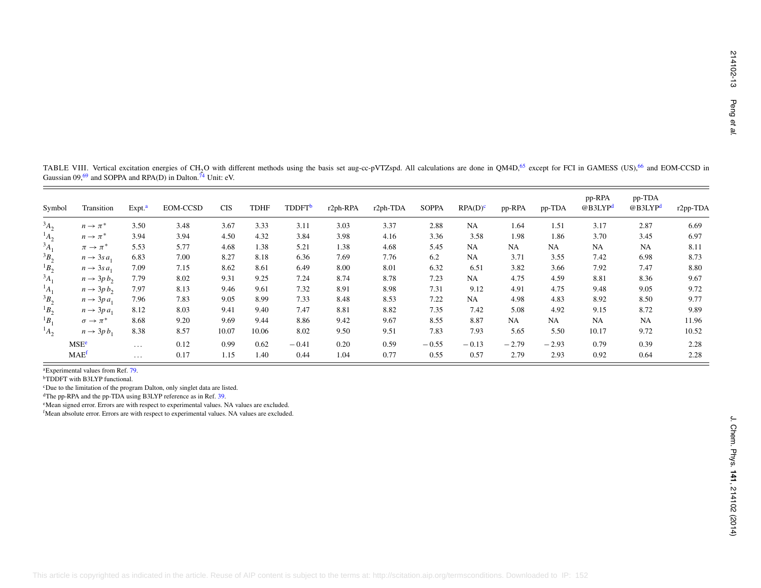<span id="page-13-6"></span><span id="page-13-5"></span><span id="page-13-4"></span><span id="page-13-3"></span><span id="page-13-2"></span><span id="page-13-1"></span>

| Symbol      | Transition                                | Expt. <sup>a</sup>   | EOM-CCSD                                                                                                                                                                                                                                                                                                                                                                                       | <b>CIS</b> | <b>TDHF</b> | TDDFT <sup>b</sup> | $r2ph$ -RPA | r2ph-TDA | <b>SOPPA</b> | RPA(D) <sup>c</sup> | pp-RPA  | pp-TDA  | pp-RPA<br>@B3LYP <sup>d</sup> | pp-TDA<br>@B3LYP <sup>d</sup> | r2pp-TDA |
|-------------|-------------------------------------------|----------------------|------------------------------------------------------------------------------------------------------------------------------------------------------------------------------------------------------------------------------------------------------------------------------------------------------------------------------------------------------------------------------------------------|------------|-------------|--------------------|-------------|----------|--------------|---------------------|---------|---------|-------------------------------|-------------------------------|----------|
| $A_2$       | $n \rightarrow \pi^*$                     | 3.50                 | 3.48                                                                                                                                                                                                                                                                                                                                                                                           | 3.67       | 3.33        | 3.11               | 3.03        | 3.37     | 2.88         | NA                  | 1.64    | 1.51    | 3.17                          | 2.87                          | 6.69     |
| $^{1}A_{2}$ | $n \rightarrow \pi^*$                     | 3.94                 | 3.94                                                                                                                                                                                                                                                                                                                                                                                           | 4.50       | 4.32        | 3.84               | 3.98        | 4.16     | 3.36         | 3.58                | 1.98    | 1.86    | 3.70                          | 3.45                          | 6.97     |
| $A_1$       | $\pi \rightarrow \pi^{*}$                 | 5.53                 | 5.77                                                                                                                                                                                                                                                                                                                                                                                           | 4.68       | 1.38        | 5.21               | 1.38        | 4.68     | 5.45         | NA                  | NA      | NA      | NA                            | NA                            | 8.11     |
| $3B_2$      | $n \rightarrow 3sa_1$                     | 6.83                 | 7.00                                                                                                                                                                                                                                                                                                                                                                                           | 8.27       | 8.18        | 6.36               | 7.69        | 7.76     | 6.2          | NA                  | 3.71    | 3.55    | 7.42                          | 6.98                          | 8.73     |
| $B_2$       | $n \rightarrow 3sa_1$                     | 7.09                 | 7.15                                                                                                                                                                                                                                                                                                                                                                                           | 8.62       | 8.61        | 6.49               | 8.00        | 8.01     | 6.32         | 6.51                | 3.82    | 3.66    | 7.92                          | 7.47                          | 8.80     |
| $A_1$       | $n \rightarrow 3p b_2$                    | 7.79                 | 8.02                                                                                                                                                                                                                                                                                                                                                                                           | 9.31       | 9.25        | 7.24               | 8.74        | 8.78     | 7.23         | NA                  | 4.75    | 4.59    | 8.81                          | 8.36                          | 9.67     |
| $^{1}A_{1}$ | $n \rightarrow 3p b_2$                    | 7.97                 | 8.13                                                                                                                                                                                                                                                                                                                                                                                           | 9.46       | 9.61        | 7.32               | 8.91        | 8.98     | 7.31         | 9.12                | 4.91    | 4.75    | 9.48                          | 9.05                          | 9.72     |
| $B_2$       | $n \rightarrow 3p a_1$                    | 7.96                 | 7.83                                                                                                                                                                                                                                                                                                                                                                                           | 9.05       | 8.99        | 7.33               | 8.48        | 8.53     | 7.22         | NA                  | 4.98    | 4.83    | 8.92                          | 8.50                          | 9.77     |
| ${}^1B_2$   | $n \rightarrow 3p a_1$                    | 8.12                 | 8.03                                                                                                                                                                                                                                                                                                                                                                                           | 9.41       | 9.40        | 7.47               | 8.81        | 8.82     | 7.35         | 7.42                | 5.08    | 4.92    | 9.15                          | 8.72                          | 9.89     |
| $B_1$       | $\sigma \rightarrow \pi^{*}$              | 8.68                 | 9.20                                                                                                                                                                                                                                                                                                                                                                                           | 9.69       | 9.44        | 8.86               | 9.42        | 9.67     | 8.55         | 8.87                | NA      | NA      | NA                            | NA                            | 11.96    |
| $^{1}A_{2}$ | $n \rightarrow 3p b_1$                    | 8.38                 | 8.57                                                                                                                                                                                                                                                                                                                                                                                           | 10.07      | 10.06       | 8.02               | 9.50        | 9.51     | 7.83         | 7.93                | 5.65    | 5.50    | 10.17                         | 9.72                          | 10.52    |
|             | MSE <sup>e</sup>                          | $\sim$ $\sim$ $\sim$ | 0.12                                                                                                                                                                                                                                                                                                                                                                                           | 0.99       | 0.62        | $-0.41$            | 0.20        | 0.59     | $-0.55$      | $-0.13$             | $-2.79$ | $-2.93$ | 0.79                          | 0.39                          | 2.28     |
|             | <b>MAE</b> <sup>f</sup>                   | $\ldots$             | 0.17                                                                                                                                                                                                                                                                                                                                                                                           | 1.15       | 1.40        | 0.44               | 1.04        | 0.77     | 0.55         | 0.57                | 2.79    | 2.93    | 0.92                          | 0.64                          | 2.28     |
|             | <sup>b</sup> TDDFT with B3LYP functional. |                      | <sup>c</sup> Due to the limitation of the program Dalton, only singlet data are listed.<br><sup>d</sup> The pp-RPA and the pp-TDA using B3LYP reference as in Ref. 39.<br><sup>e</sup> Mean signed error. Errors are with respect to experimental values. NA values are excluded.<br><sup>f</sup> Mean absolute error. Errors are with respect to experimental values. NA values are excluded. |            |             |                    |             |          |              |                     |         |         |                               |                               |          |

<span id="page-13-0"></span>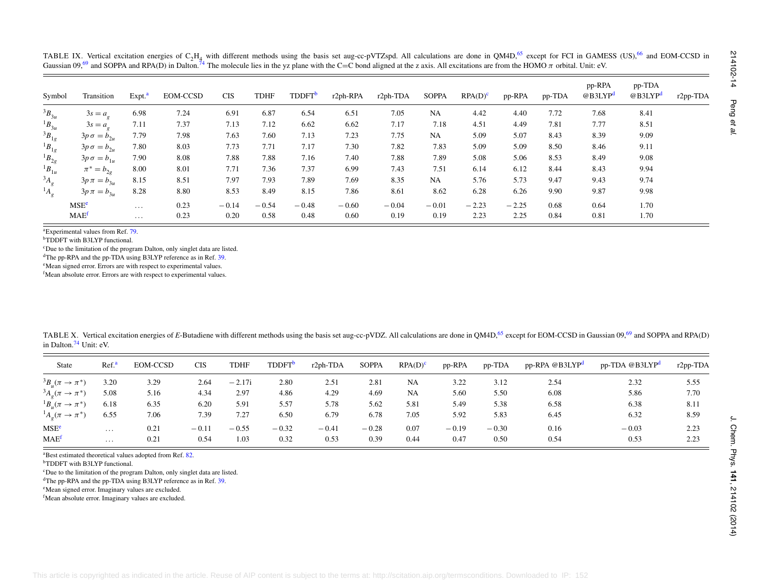<span id="page-14-7"></span><span id="page-14-6"></span><span id="page-14-5"></span><span id="page-14-4"></span><span id="page-14-3"></span><span id="page-14-2"></span>

| Symbol                                                                                                                                                                               | Transition                                                                       | Expt. <sup>a</sup> | <b>EOM-CCSD</b>                                                                                                                                                                                                                                     | <b>CIS</b>  | <b>TDHF</b>               | <b>TDDFT</b> <sup>b</sup> | r2ph-RPA | r2ph-TDA                            | <b>SOPPA</b> | RPA(D) <sup>c</sup> | pp-RPA  | pp-TDA                     | pp-RPA<br>@B3LYP <sup>d</sup> | pp-TDA<br>@B3LYP <sup>d</sup> | r2pp-TDA |
|--------------------------------------------------------------------------------------------------------------------------------------------------------------------------------------|----------------------------------------------------------------------------------|--------------------|-----------------------------------------------------------------------------------------------------------------------------------------------------------------------------------------------------------------------------------------------------|-------------|---------------------------|---------------------------|----------|-------------------------------------|--------------|---------------------|---------|----------------------------|-------------------------------|-------------------------------|----------|
| $3B_{3u}$                                                                                                                                                                            | $3s = a_q$                                                                       | 6.98               | 7.24                                                                                                                                                                                                                                                | 6.91        | 6.87                      | 6.54                      | 6.51     | 7.05                                | NA           | 4.42                | 4.40    | 7.72                       | 7.68                          | 8.41                          |          |
| ${}^{1}B_{3u}$                                                                                                                                                                       | $3s = a_{\rho}$                                                                  | 7.11               | 7.37                                                                                                                                                                                                                                                | 7.13        | 7.12                      | 6.62                      | 6.62     | 7.17                                | 7.18         | 4.51                | 4.49    | 7.81                       | 7.77                          | 8.51                          |          |
| ${}^3B_{1g}$                                                                                                                                                                         | $3p\sigma = b_{2u}$                                                              | 7.79               | 7.98                                                                                                                                                                                                                                                | 7.63        | 7.60                      | 7.13                      | 7.23     | 7.75                                | NA           | 5.09                | 5.07    | 8.43                       | 8.39                          | 9.09                          |          |
| ${}^{1}B_{1g}$                                                                                                                                                                       | $3p\sigma = b_{2u}$                                                              | 7.80               | 8.03                                                                                                                                                                                                                                                | 7.73        | 7.71                      | 7.17                      | 7.30     | 7.82                                | 7.83         | 5.09                | 5.09    | 8.50                       | 8.46                          | 9.11                          |          |
| ${}^{1}B_{2g}$                                                                                                                                                                       | $3p\sigma = b_{1u}$                                                              | 7.90               | 8.08                                                                                                                                                                                                                                                | 7.88        | 7.88                      | 7.16                      | 7.40     | 7.88                                | 7.89         | 5.08                | 5.06    | 8.53                       | 8.49                          | 9.08                          |          |
| ${}^{1}B_{1u}$                                                                                                                                                                       | $\pi^* = b_{2g}$                                                                 | 8.00               | 8.01                                                                                                                                                                                                                                                | 7.71        | 7.36                      | 7.37                      | 6.99     | 7.43                                | 7.51         | 6.14                | 6.12    | 8.44                       | 8.43                          | 9.94                          |          |
|                                                                                                                                                                                      | $3p\pi = b_{3u}$                                                                 | 8.15               | 8.51                                                                                                                                                                                                                                                | 7.97        | 7.93                      | 7.89                      | 7.69     | 8.35                                | NA           | 5.76                | 5.73    | 9.47                       | 9.43                          | 9.74                          |          |
|                                                                                                                                                                                      | $3p \pi = b_{3u}$                                                                | 8.28               | 8.80                                                                                                                                                                                                                                                | 8.53        | 8.49                      | 8.15                      | 7.86     | 8.61                                | 8.62         | 6.28                | 6.26    | 9.90                       | 9.87                          | 9.98                          |          |
|                                                                                                                                                                                      | <b>MSE<sup>e</sup></b>                                                           | $\ldots$           | 0.23                                                                                                                                                                                                                                                | $-0.14$     | $-0.54$                   | $-0.48$                   | $-0.60$  | $-0.04$                             | $-0.01$      | $-2.23$             | $-2.25$ | 0.68                       | 0.64                          | 1.70                          |          |
|                                                                                                                                                                                      | MAE <sup>f</sup>                                                                 | $\ldots$           | 0.23                                                                                                                                                                                                                                                | 0.20        | 0.58                      | 0.48                      | 0.60     | 0.19                                | 0.19         | 2.23                | 2.25    | 0.84                       | 0.81                          | 1.70                          |          |
|                                                                                                                                                                                      |                                                                                  |                    | <sup>d</sup> The pp-RPA and the pp-TDA using B3LYP reference as in Ref. 39.<br><sup>e</sup> Mean signed error. Errors are with respect to experimental values.<br><sup>f</sup> Mean absolute error. Errors are with respect to experimental values. |             |                           |                           |          |                                     |              |                     |         |                            |                               |                               |          |
|                                                                                                                                                                                      | in Dalton. <sup>74</sup> Unit: eV.                                               |                    | TABLE X. Vertical excitation energies of E-Butadiene with different methods using the basis set aug-cc-pVDZ. All calculations are done in QM4D, <sup>65</sup> except for EOM-CCSD in Gaussian 09, <sup>69</sup> and SOPPA and RPA(D)                |             |                           |                           |          |                                     |              |                     |         |                            |                               |                               |          |
| <b>State</b>                                                                                                                                                                         | Ref <sup>a</sup>                                                                 | <b>EOM-CCSD</b>    | <b>CIS</b>                                                                                                                                                                                                                                          | <b>TDHF</b> | <b>TDDFT</b> <sup>b</sup> |                           | r2ph-TDA | <b>SOPPA</b><br>RPA(D) <sup>c</sup> |              | pp-RPA              | pp-TDA  | pp-RPA @B3LYP <sup>d</sup> |                               | pp-TDA @B3LYP <sup>d</sup>    | r2pp-TDA |
|                                                                                                                                                                                      | 3.20                                                                             | 3.29               | 2.64                                                                                                                                                                                                                                                | $-2.17i$    |                           | 2.80                      | 2.51     | 2.81<br>NA                          |              | 3.22                | 3.12    | 2.54                       |                               | 2.32                          | 5.55     |
|                                                                                                                                                                                      | 5.08                                                                             | 5.16               | 4.34                                                                                                                                                                                                                                                | 2.97        |                           | 4.86                      | 4.29     | 4.69<br>NA                          |              | 5.60                | 5.50    | 6.08                       |                               | 5.86                          | 7.70     |
|                                                                                                                                                                                      | 6.18                                                                             | 6.35               | 6.20                                                                                                                                                                                                                                                | 5.91        |                           | 5.57                      | 5.78     | 5.62<br>5.81                        |              | 5.49                | 5.38    | 6.58                       |                               | 6.38                          | 8.11     |
|                                                                                                                                                                                      | 6.55                                                                             | 7.06               | 7.39                                                                                                                                                                                                                                                | 7.27        |                           | 6.50                      | 6.79     | 6.78<br>7.05                        |              | 5.92                | 5.83    | 6.45                       |                               | 6.32                          | 8.59     |
|                                                                                                                                                                                      | $\ddotsc$                                                                        | 0.21               | $-0.11$                                                                                                                                                                                                                                             | $-0.55$     | $-0.32$                   |                           | $-0.41$  | $-0.28$<br>0.07                     |              | $-0.19$             | $-0.30$ | 0.16                       |                               | $-0.03$                       | 2.23     |
| ${}^3B_u(\pi \to \pi^*)$<br>${}^3A_g(\pi \rightarrow \pi^*)$<br>${}^{1}B_{\mu}(\pi \to \pi^{*})$<br>${}^1A_g(\pi \to \pi^*)$<br>$\mathrm{MSE}^\mathbf{e}$<br>$\text{MAE}^{\text{f}}$ | $\ldots$<br><sup>a</sup> Best estimated theoretical values adopted from Ref. 82. | 0.21               | 0.54                                                                                                                                                                                                                                                | 1.03        |                           | 0.32                      | 0.53     | 0.39<br>0.44                        |              | 0.47                | 0.50    | 0.54                       |                               | 0.53                          | 2.23     |

|                                       | TABLE X. Vertical excitation energies of E-Butadiene with different methods using the basis set aug-cc-pVDZ. All calculations are done in OM4D. <sup>65</sup> except for EOM-CCSD in Gaussian 09. <sup>69</sup> and SOPPA and RPA(D) |  |  |
|---------------------------------------|--------------------------------------------------------------------------------------------------------------------------------------------------------------------------------------------------------------------------------------|--|--|
| in Dalton. <sup>74</sup> Unit: $eV$ . |                                                                                                                                                                                                                                      |  |  |

<span id="page-14-13"></span><span id="page-14-12"></span><span id="page-14-11"></span><span id="page-14-10"></span><span id="page-14-9"></span><span id="page-14-8"></span><span id="page-14-1"></span><span id="page-14-0"></span>

| <b>State</b>                          | Ref. <sup>a</sup> | <b>EOM-CCSD</b> | <b>CIS</b> | TDHF     | <b>TDDFT</b> <sup>b</sup> | r <sub>2ph</sub> -TDA | <b>SOPPA</b> | $RPA(D)^c$ | pp-RPA  | pp-TDA  | pp-RPA @B3LYP <sup>d</sup> | pp-TDA @B3LYP <sup>d</sup> | $r2pp-TDA$ |
|---------------------------------------|-------------------|-----------------|------------|----------|---------------------------|-----------------------|--------------|------------|---------|---------|----------------------------|----------------------------|------------|
| ${}^3B_u(\pi \rightarrow \pi^*)$      | 3.20              | 3.29            | 2.64       | $-2.17i$ | 2.80                      | 2.51                  | 2.81         | NA         | 3.22    | 3.12    | 2.54                       | 2.32                       | 5.55       |
| ${}^3A_{\rho}(\pi \rightarrow \pi^*)$ | 5.08              | 5.16            | 4.34       | 2.97     | 4.86                      | 4.29                  | 4.69         | NA         | 5.60    | 5.50    | 6.08                       | 5.86                       | 7.70       |
| ${}^{1}B_{\mu}(\pi \to \pi^{*})$      | 6.18              | 6.35            | 6.20       | 5.91     | 5.57                      | 5.78                  | 5.62         | 5.81       | 5.49    | 5.38    | 6.58                       | 6.38                       | 8.11       |
| ${}^1A_{\rho}(\pi \to \pi^*)$         | 6.55              | 7.06            | 7.39       | 7.27     | 6.50                      | 6.79                  | 6.78         | 7.05       | 5.92    | 5.83    | 6.45                       | 6.32                       | 8.59       |
| MSE <sup>e</sup>                      | $\cdots$          | 0.21            | $-0.11$    | $-0.55$  | $-0.32$                   | $-0.41$               | $-0.28$      | 0.07       | $-0.19$ | $-0.30$ | 0.16                       | $-0.03$                    | 2.23       |
| MAE <sup>f</sup>                      | .                 | 0.21            | 0.54       | 1.03     | 0.32                      | 0.53                  | 0.39         | 0.44       | 0.47    | 0.50    | 0.54                       | 0.53                       | 2.23       |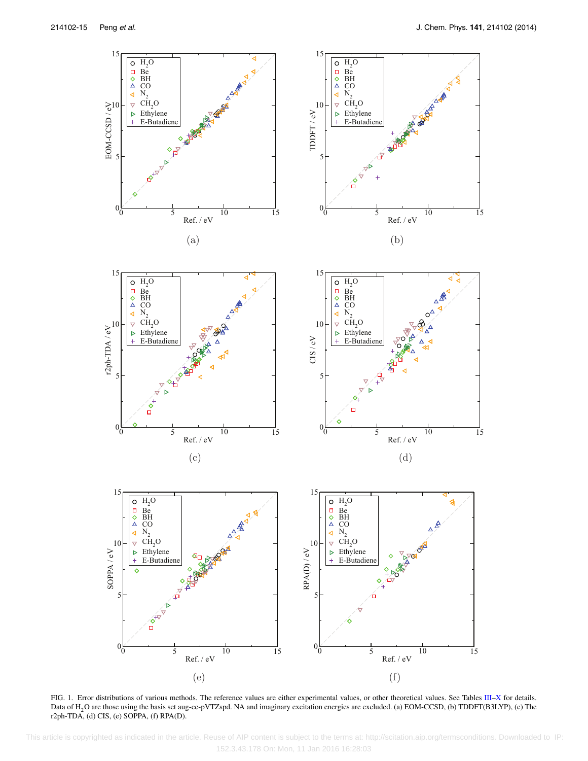<span id="page-15-0"></span>

FIG. 1. Error distributions of various methods. The reference values are either experimental values, or other theoretical values. See Tables [III](#page-7-1)[–X](#page-14-1) for details. Data of H2O are those using the basis set aug-cc-pVTZspd. NA and imaginary excitation energies are excluded. (a) EOM-CCSD, (b) TDDFT(B3LYP), (c) The r2ph-TDA, (d) CIS, (e) SOPPA, (f) RPA(D).

 This article is copyrighted as indicated in the article. Reuse of AIP content is subject to the terms at: http://scitation.aip.org/termsconditions. Downloaded to IP: 152.3.43.178 On: Mon, 11 Jan 2016 16:28:03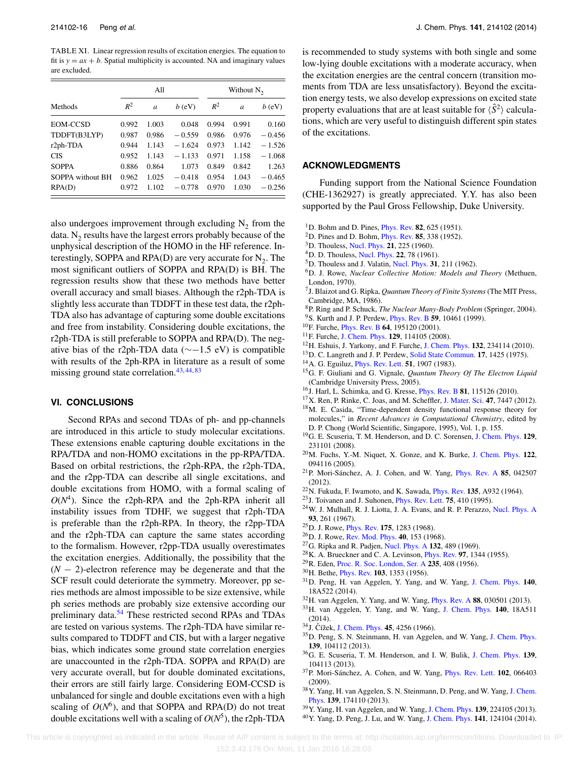<span id="page-16-31"></span>TABLE XI. Linear regression results of excitation energies. The equation to fit is  $y = ax + b$ . Spatial multiplicity is accounted. NA and imaginary values are excluded.

|                  |       | All   |          |       | Without $N_2$ |          |
|------------------|-------|-------|----------|-------|---------------|----------|
| Methods          | $R^2$ | a     | $b$ (eV) | $R^2$ | a             | $b$ (eV) |
| EOM-CCSD         | 0.992 | 1.003 | 0.048    | 0.994 | 0.991         | 0.160    |
| TDDFT(B3LYP)     | 0.987 | 0.986 | $-0.559$ | 0.986 | 0.976         | $-0.456$ |
| r2ph-TDA         | 0.944 | 1.143 | $-1.624$ | 0.973 | 1.142         | $-1.526$ |
| <b>CIS</b>       | 0.952 | 1.143 | $-1.133$ | 0.971 | 1.158         | $-1.068$ |
| <b>SOPPA</b>     | 0.886 | 0.864 | 1.073    | 0.849 | 0.842         | 1.263    |
| SOPPA without BH | 0.962 | 1.025 | $-0.418$ | 0.954 | 1.043         | $-0.465$ |
| RPA(D)           | 0.972 | 1.102 | $-0.778$ | 0.970 | 1.030         | $-0.256$ |

<span id="page-16-30"></span>also undergoes improvement through excluding  $N_2$  from the data.  $N<sub>2</sub>$  results have the largest errors probably because of the unphysical description of the HOMO in the HF reference. Interestingly, SOPPA and RPA(D) are very accurate for  $N_2$ . The most significant outliers of SOPPA and RPA(D) is BH. The regression results show that these two methods have better overall accuracy and small biases. Although the r2ph-TDA is slightly less accurate than TDDFT in these test data, the r2ph-TDA also has advantage of capturing some double excitations and free from instability. Considering double excitations, the r2ph-TDA is still preferable to SOPPA and RPA(D). The negative bias of the r2ph-TDA data ( $\sim$ −1.5 eV) is compatible with results of the 2ph-RPA in literature as a result of some missing ground state correlation. $43,44,83$  $43,44,83$  $43,44,83$ 

#### <span id="page-16-29"></span>**VI. CONCLUSIONS**

Second RPAs and second TDAs of ph- and pp-channels are introduced in this article to study molecular excitations. These extensions enable capturing double excitations in the RPA/TDA and non-HOMO excitations in the pp-RPA/TDA. Based on orbital restrictions, the r2ph-RPA, the r2ph-TDA, and the r2pp-TDA can describe all single excitations, and double excitations from HOMO, with a formal scaling of  $O(N<sup>4</sup>)$ . Since the r2ph-RPA and the 2ph-RPA inherit all instability issues from TDHF, we suggest that r2ph-TDA is preferable than the r2ph-RPA. In theory, the r2pp-TDA and the r2ph-TDA can capture the same states according to the formalism. However, r2pp-TDA usually overestimates the excitation energies. Additionally, the possibility that the (*N* − 2)-electron reference may be degenerate and that the SCF result could deteriorate the symmetry. Moreover, pp series methods are almost impossible to be size extensive, while ph series methods are probably size extensive according our preliminary data.<sup>[54](#page-17-10)</sup> These restricted second RPAs and TDAs are tested on various systems. The r2ph-TDA have similar results compared to TDDFT and CIS, but with a larger negative bias, which indicates some ground state correlation energies are unaccounted in the r2ph-TDA. SOPPA and RPA(D) are very accurate overall, but for double dominated excitations, their errors are still fairly large. Considering EOM-CCSD is unbalanced for single and double excitations even with a high scaling of  $O(N<sup>6</sup>)$ , and that SOPPA and RPA(D) do not treat double excitations well with a scaling of  $O(N^5)$ , the r2ph-TDA is recommended to study systems with both single and some low-lying double excitations with a moderate accuracy, when the excitation energies are the central concern (transition moments from TDA are less unsatisfactory). Beyond the excitation energy tests, we also develop expressions on excited state property evaluations that are at least suitable for  $\langle \hat{S}^2 \rangle$  calculations, which are very useful to distinguish different spin states of the excitations.

# **ACKNOWLEDGMENTS**

Funding support from the National Science Foundation (CHE-1362927) is greatly appreciated. Y.Y. has also been supported by the Paul Gross Fellowship, Duke University.

- <span id="page-16-1"></span><span id="page-16-0"></span>1D. Bohm and D. Pines, [Phys. Rev.](http://dx.doi.org/10.1103/PhysRev.82.625) **82**, 625 (1951).
- <span id="page-16-2"></span>2D. Pines and D. Bohm, [Phys. Rev.](http://dx.doi.org/10.1103/PhysRev.85.338) **85**, 338 (1952).
- 3D. Thouless, [Nucl. Phys.](http://dx.doi.org/10.1016/0029-5582(60)90048-1) **21**, 225 (1960).
- 4D. D. Thouless, [Nucl. Phys.](http://dx.doi.org/10.1016/0029-5582(61)90364-9) **22**, 78 (1961).
- <span id="page-16-27"></span>5D. Thouless and J. Valatin, [Nucl. Phys.](http://dx.doi.org/10.1016/0029-5582(62)90741-1) **31**, 211 (1962).
- 6D. J. Rowe, *Nuclear Collective Motion: Models and Theory* (Methuen, London, 1970).
- <span id="page-16-9"></span>7J. Blaizot and G. Ripka, *Quantum Theory of Finite Systems*(The MIT Press, Cambridge, MA, 1986).
- <span id="page-16-4"></span><span id="page-16-3"></span>8P. Ring and P. Schuck, *The Nuclear Many-Body Problem* (Springer, 2004).
- <span id="page-16-11"></span>9S. Kurth and J. P. Perdew, [Phys. Rev. B](http://dx.doi.org/10.1103/PhysRevB.59.10461) **59**, 10461 (1999).
- 10F. Furche, [Phys. Rev. B](http://dx.doi.org/10.1103/PhysRevB.64.195120) **64**, 195120 (2001).
- <span id="page-16-5"></span>11F. Furche, [J. Chem. Phys.](http://dx.doi.org/10.1063/1.2977789) **129**, 114105 (2008).
- <span id="page-16-6"></span>12H. Eshuis, J. Yarkony, and F. Furche, [J. Chem. Phys.](http://dx.doi.org/10.1063/1.3442749) **132**, 234114 (2010).
- 13D. C. Langreth and J. P. Perdew, [Solid State Commun.](http://dx.doi.org/10.1016/0038-1098(75)90618-3) **17**, 1425 (1975).
- 14A. G. Eguiluz, [Phys. Rev. Lett.](http://dx.doi.org/10.1103/PhysRevLett.51.1907) **51**, 1907 (1983).
- 15G. F. Giuliani and G. Vignale, *Quantum Theory Of The Electron Liquid* (Cambridge University Press, 2005).
- <span id="page-16-7"></span>16J. Harl, L. Schimka, and G. Kresse, [Phys. Rev. B](http://dx.doi.org/10.1103/PhysRevB.81.115126) **81**, 115126 (2010).
- <span id="page-16-8"></span>17X. Ren, P. Rinke, C. Joas, and M. Scheffler, [J. Mater. Sci.](http://dx.doi.org/10.1007/s10853-012-6570-4) **47**, 7447 (2012).
- 18M. E. Casida, "Time-dependent density functional response theory for molecules," in *Recent Advances in Computational Chemistry*, edited by D. P. Chong (World Scientific, Singapore, 1995), Vol. 1, p. 155.
- <span id="page-16-10"></span>19G. E. Scuseria, T. M. Henderson, and D. C. Sorensen, [J. Chem. Phys.](http://dx.doi.org/10.1063/1.3043729) **129**, 231101 (2008).
- <span id="page-16-12"></span>20M. Fuchs, Y.-M. Niquet, X. Gonze, and K. Burke, [J. Chem. Phys.](http://dx.doi.org/10.1063/1.1858371) **122**, 094116 (2005).
- <span id="page-16-13"></span>21P. Mori-Sánchez, A. J. Cohen, and W. Yang, [Phys. Rev. A](http://dx.doi.org/10.1103/PhysRevA.85.042507) **85**, 042507 (2012).
- <span id="page-16-14"></span>22N. Fukuda, F. Iwamoto, and K. Sawada, [Phys. Rev.](http://dx.doi.org/10.1103/PhysRev.135.A932) **135**, A932 (1964).
- 23J. Toivanen and J. Suhonen, [Phys. Rev. Lett.](http://dx.doi.org/10.1103/PhysRevLett.75.410) **75**, 410 (1995).
- 24W. J. Mulhall, R. J. Liotta, J. A. Evans, and R. P. Perazzo, [Nucl. Phys. A](http://dx.doi.org/10.1016/0375-9474(67)90270-9) **93**, 261 (1967).
- <span id="page-16-28"></span>25D. J. Rowe, [Phys. Rev.](http://dx.doi.org/10.1103/PhysRev.175.1283) **175**, 1283 (1968).
- <span id="page-16-15"></span>26D. J. Rowe, [Rev. Mod. Phys.](http://dx.doi.org/10.1103/RevModPhys.40.153) **40**, 153 (1968).
- <span id="page-16-16"></span>27G. Ripka and R. Padjen, [Nucl. Phys. A](http://dx.doi.org/10.1016/0375-9474(69)90714-3) **132**, 489 (1969).
- 28K. A. Brueckner and C. A. Levinson, [Phys. Rev.](http://dx.doi.org/10.1103/PhysRev.97.1344) **97**, 1344 (1955).
- <span id="page-16-17"></span>29R. Eden, [Proc. R. Soc. London, Ser. A](http://dx.doi.org/10.1098/rspa.1956.0093) **235**, 408 (1956).
- <span id="page-16-18"></span>30H. Bethe, [Phys. Rev.](http://dx.doi.org/10.1103/PhysRev.103.1353) **103**, 1353 (1956).
- 31D. Peng, H. van Aggelen, Y. Yang, and W. Yang, [J. Chem. Phys.](http://dx.doi.org/10.1063/1.4867540) **140**, 18A522 (2014).
- <span id="page-16-20"></span><span id="page-16-19"></span>32H. van Aggelen, Y. Yang, and W. Yang, [Phys. Rev. A](http://dx.doi.org/10.1103/PhysRevA.88.030501) **88**, 030501 (2013).
- 33H. van Aggelen, Y. Yang, and W. Yang, [J. Chem. Phys.](http://dx.doi.org/10.1063/1.4865816) **140**, 18A511 (2014).
- <span id="page-16-21"></span>34J. Čížek, [J. Chem. Phys.](http://dx.doi.org/10.1063/1.1727484) **45**, 4256 (1966).
- 35D. Peng, S. N. Steinmann, H. van Aggelen, and W. Yang, [J. Chem. Phys.](http://dx.doi.org/10.1063/1.4820556) **139**, 104112 (2013).
- <span id="page-16-22"></span>36G. E. Scuseria, T. M. Henderson, and I. W. Bulik, [J. Chem. Phys.](http://dx.doi.org/10.1063/1.4820557) **139**, 104113 (2013).
- <span id="page-16-23"></span>37P. Mori-Sánchez, A. Cohen, and W. Yang, [Phys. Rev. Lett.](http://dx.doi.org/10.1103/PhysRevLett.102.066403) **102**, 066403 (2009).
- <span id="page-16-24"></span>38Y. Yang, H. van Aggelen, S. N. Steinmann, D. Peng, and W. Yang, [J. Chem.](http://dx.doi.org/10.1063/1.4828728) [Phys.](http://dx.doi.org/10.1063/1.4828728) **139**, 174110 (2013).
- <span id="page-16-26"></span><span id="page-16-25"></span>39Y. Yang, H. van Aggelen, and W. Yang, [J. Chem. Phys.](http://dx.doi.org/10.1063/1.4834875) **139**, 224105 (2013).
- 40Y. Yang, D. Peng, J. Lu, and W. Yang, [J. Chem. Phys.](http://dx.doi.org/10.1063/1.4895792) **141**, 124104 (2014).